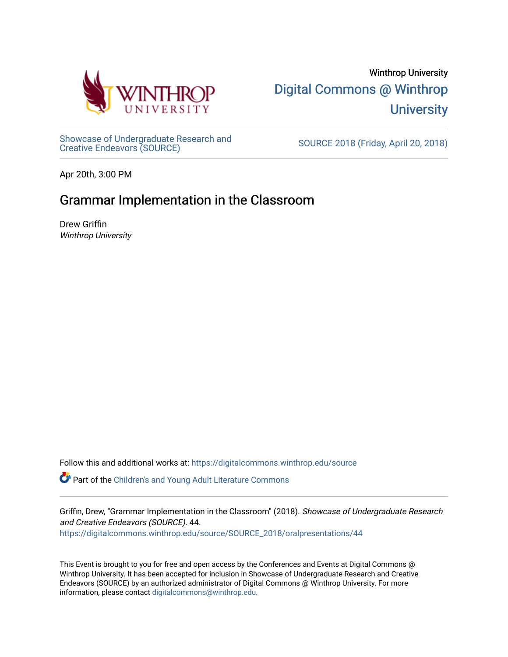

[Showcase of Undergraduate Research and](https://digitalcommons.winthrop.edu/source)<br>Creative Endeavors (SOURCE)

SOURCE 2018 (Friday, April 20, 2018)

Apr 20th, 3:00 PM

# Grammar Implementation in the Classroom

Drew Griffin Winthrop University

Follow this and additional works at: [https://digitalcommons.winthrop.edu/source](https://digitalcommons.winthrop.edu/source?utm_source=digitalcommons.winthrop.edu%2Fsource%2FSOURCE_2018%2Foralpresentations%2F44&utm_medium=PDF&utm_campaign=PDFCoverPages)

Part of the [Children's and Young Adult Literature Commons](http://network.bepress.com/hgg/discipline/1289?utm_source=digitalcommons.winthrop.edu%2Fsource%2FSOURCE_2018%2Foralpresentations%2F44&utm_medium=PDF&utm_campaign=PDFCoverPages) 

Griffin, Drew, "Grammar Implementation in the Classroom" (2018). Showcase of Undergraduate Research and Creative Endeavors (SOURCE). 44. [https://digitalcommons.winthrop.edu/source/SOURCE\\_2018/oralpresentations/44](https://digitalcommons.winthrop.edu/source/SOURCE_2018/oralpresentations/44?utm_source=digitalcommons.winthrop.edu%2Fsource%2FSOURCE_2018%2Foralpresentations%2F44&utm_medium=PDF&utm_campaign=PDFCoverPages)

This Event is brought to you for free and open access by the Conferences and Events at Digital Commons @ Winthrop University. It has been accepted for inclusion in Showcase of Undergraduate Research and Creative Endeavors (SOURCE) by an authorized administrator of Digital Commons @ Winthrop University. For more information, please contact [digitalcommons@winthrop.edu.](mailto:digitalcommons@winthrop.edu)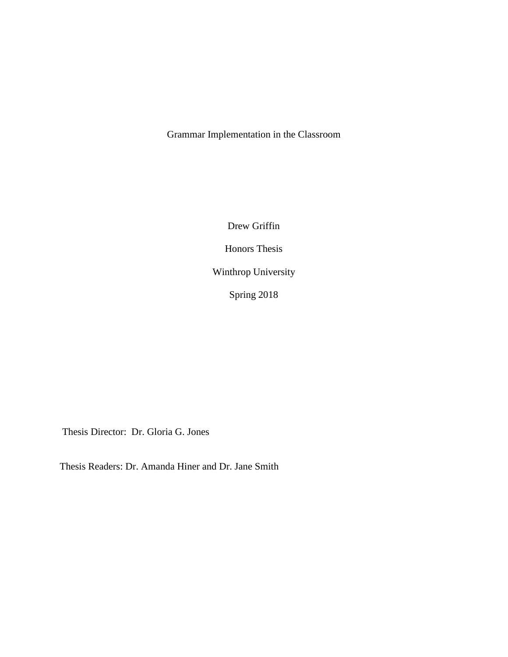Grammar Implementation in the Classroom

Drew Griffin Honors Thesis Winthrop University Spring 2018

Thesis Director: Dr. Gloria G. Jones

Thesis Readers: Dr. Amanda Hiner and Dr. Jane Smith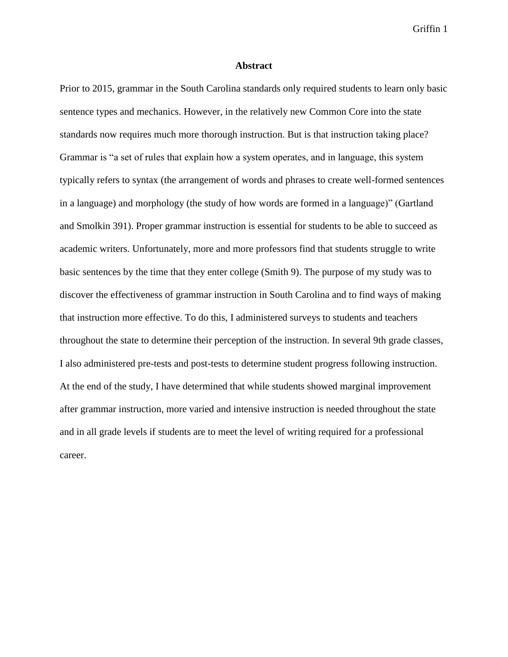#### **Abstract**

Prior to 2015, grammar in the South Carolina standards only required students to learn only basic sentence types and mechanics. However, in the relatively new Common Core into the state standards now requires much more thorough instruction. But is that instruction taking place? Grammar is "a set of rules that explain how a system operates, and in language, this system typically refers to syntax (the arrangement of words and phrases to create well-formed sentences in a language) and morphology (the study of how words are formed in a language)" (Gartland and Smolkin 391). Proper grammar instruction is essential for students to be able to succeed as academic writers. Unfortunately, more and more professors find that students struggle to write basic sentences by the time that they enter college (Smith 9). The purpose of my study was to discover the effectiveness of grammar instruction in South Carolina and to find ways of making that instruction more effective. To do this, I administered surveys to students and teachers throughout the state to determine their perception of the instruction. In several 9th grade classes, I also administered pre-tests and post-tests to determine student progress following instruction. At the end of the study, I have determined that while students showed marginal improvement after grammar instruction, more varied and intensive instruction is needed throughout the state and in all grade levels if students are to meet the level of writing required for a professional career.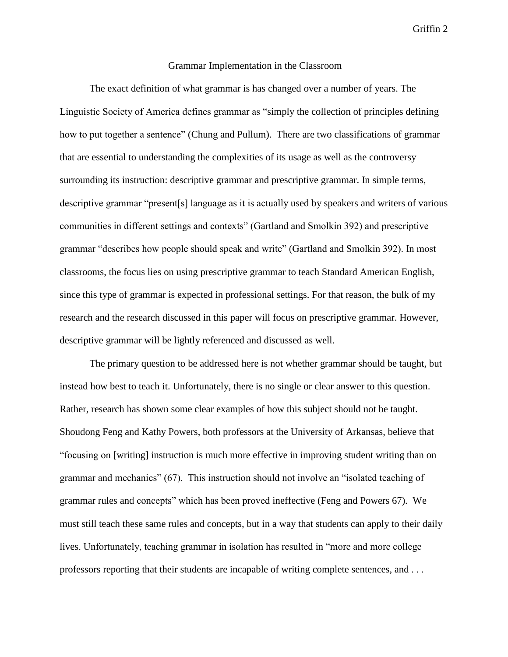### Grammar Implementation in the Classroom

The exact definition of what grammar is has changed over a number of years. The Linguistic Society of America defines grammar as "simply the collection of principles defining how to put together a sentence" (Chung and Pullum). There are two classifications of grammar that are essential to understanding the complexities of its usage as well as the controversy surrounding its instruction: descriptive grammar and prescriptive grammar. In simple terms, descriptive grammar "present[s] language as it is actually used by speakers and writers of various communities in different settings and contexts" (Gartland and Smolkin 392) and prescriptive grammar "describes how people should speak and write" (Gartland and Smolkin 392). In most classrooms, the focus lies on using prescriptive grammar to teach Standard American English, since this type of grammar is expected in professional settings. For that reason, the bulk of my research and the research discussed in this paper will focus on prescriptive grammar. However, descriptive grammar will be lightly referenced and discussed as well.

The primary question to be addressed here is not whether grammar should be taught, but instead how best to teach it. Unfortunately, there is no single or clear answer to this question. Rather, research has shown some clear examples of how this subject should not be taught. Shoudong Feng and Kathy Powers, both professors at the University of Arkansas, believe that "focusing on [writing] instruction is much more effective in improving student writing than on grammar and mechanics" (67). This instruction should not involve an "isolated teaching of grammar rules and concepts" which has been proved ineffective (Feng and Powers 67). We must still teach these same rules and concepts, but in a way that students can apply to their daily lives. Unfortunately, teaching grammar in isolation has resulted in "more and more college professors reporting that their students are incapable of writing complete sentences, and . . .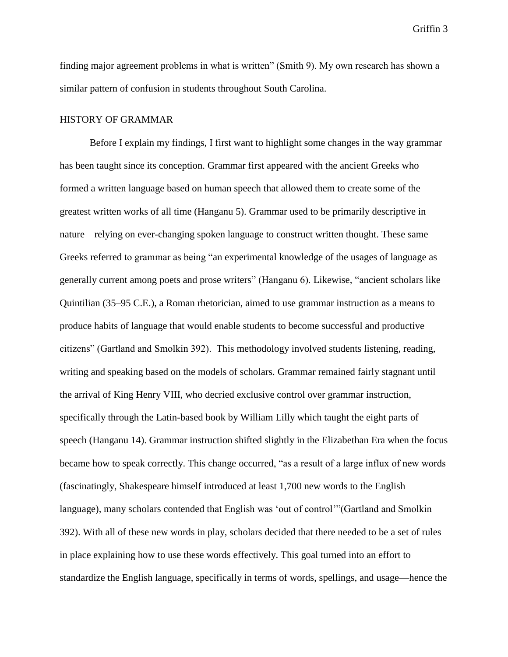finding major agreement problems in what is written" (Smith 9). My own research has shown a similar pattern of confusion in students throughout South Carolina.

## HISTORY OF GRAMMAR

Before I explain my findings, I first want to highlight some changes in the way grammar has been taught since its conception. Grammar first appeared with the ancient Greeks who formed a written language based on human speech that allowed them to create some of the greatest written works of all time (Hanganu 5). Grammar used to be primarily descriptive in nature—relying on ever-changing spoken language to construct written thought. These same Greeks referred to grammar as being "an experimental knowledge of the usages of language as generally current among poets and prose writers" (Hanganu 6). Likewise, "ancient scholars like Quintilian (35–95 C.E.), a Roman rhetorician, aimed to use grammar instruction as a means to produce habits of language that would enable students to become successful and productive citizens" (Gartland and Smolkin 392). This methodology involved students listening, reading, writing and speaking based on the models of scholars. Grammar remained fairly stagnant until the arrival of King Henry VIII, who decried exclusive control over grammar instruction, specifically through the Latin-based book by William Lilly which taught the eight parts of speech (Hanganu 14). Grammar instruction shifted slightly in the Elizabethan Era when the focus became how to speak correctly. This change occurred, "as a result of a large influx of new words (fascinatingly, Shakespeare himself introduced at least 1,700 new words to the English language), many scholars contended that English was 'out of control'"(Gartland and Smolkin 392). With all of these new words in play, scholars decided that there needed to be a set of rules in place explaining how to use these words effectively. This goal turned into an effort to standardize the English language, specifically in terms of words, spellings, and usage—hence the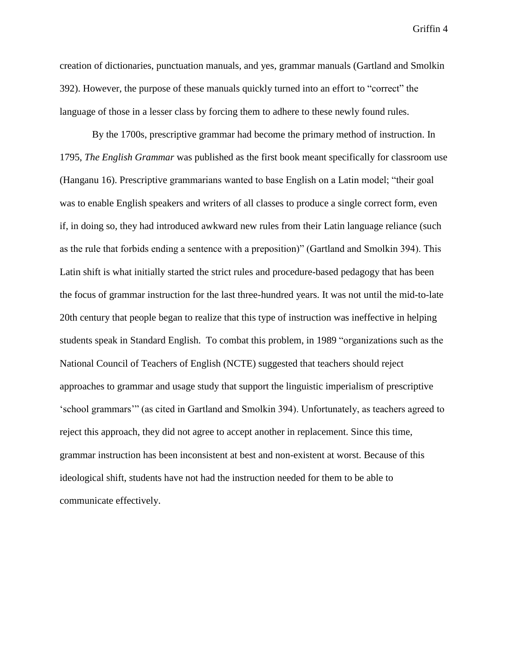creation of dictionaries, punctuation manuals, and yes, grammar manuals (Gartland and Smolkin 392). However, the purpose of these manuals quickly turned into an effort to "correct" the language of those in a lesser class by forcing them to adhere to these newly found rules.

By the 1700s, prescriptive grammar had become the primary method of instruction. In 1795, *The English Grammar* was published as the first book meant specifically for classroom use (Hanganu 16). Prescriptive grammarians wanted to base English on a Latin model; "their goal was to enable English speakers and writers of all classes to produce a single correct form, even if, in doing so, they had introduced awkward new rules from their Latin language reliance (such as the rule that forbids ending a sentence with a preposition)" (Gartland and Smolkin 394). This Latin shift is what initially started the strict rules and procedure-based pedagogy that has been the focus of grammar instruction for the last three-hundred years. It was not until the mid-to-late 20th century that people began to realize that this type of instruction was ineffective in helping students speak in Standard English. To combat this problem, in 1989 "organizations such as the National Council of Teachers of English (NCTE) suggested that teachers should reject approaches to grammar and usage study that support the linguistic imperialism of prescriptive 'school grammars'" (as cited in Gartland and Smolkin 394). Unfortunately, as teachers agreed to reject this approach, they did not agree to accept another in replacement. Since this time, grammar instruction has been inconsistent at best and non-existent at worst. Because of this ideological shift, students have not had the instruction needed for them to be able to communicate effectively.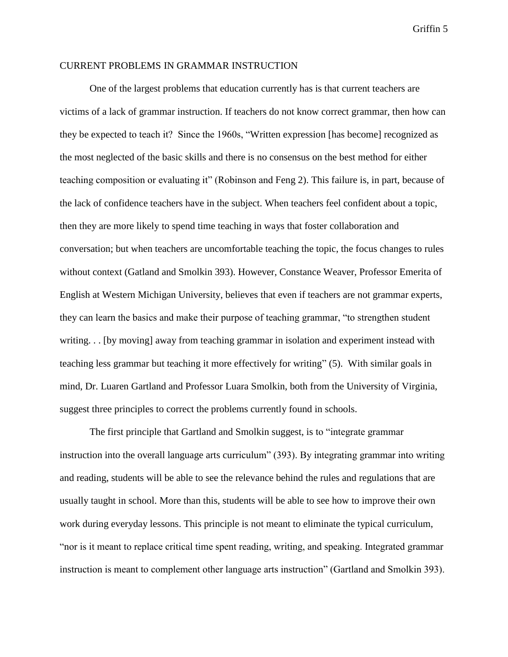### CURRENT PROBLEMS IN GRAMMAR INSTRUCTION

One of the largest problems that education currently has is that current teachers are victims of a lack of grammar instruction. If teachers do not know correct grammar, then how can they be expected to teach it? Since the 1960s, "Written expression [has become] recognized as the most neglected of the basic skills and there is no consensus on the best method for either teaching composition or evaluating it" (Robinson and Feng 2). This failure is, in part, because of the lack of confidence teachers have in the subject. When teachers feel confident about a topic, then they are more likely to spend time teaching in ways that foster collaboration and conversation; but when teachers are uncomfortable teaching the topic, the focus changes to rules without context (Gatland and Smolkin 393). However, Constance Weaver, Professor Emerita of English at Western Michigan University, believes that even if teachers are not grammar experts, they can learn the basics and make their purpose of teaching grammar, "to strengthen student writing. . . [by moving] away from teaching grammar in isolation and experiment instead with teaching less grammar but teaching it more effectively for writing" (5). With similar goals in mind, Dr. Luaren Gartland and Professor Luara Smolkin, both from the University of Virginia, suggest three principles to correct the problems currently found in schools.

The first principle that Gartland and Smolkin suggest, is to "integrate grammar instruction into the overall language arts curriculum" (393). By integrating grammar into writing and reading, students will be able to see the relevance behind the rules and regulations that are usually taught in school. More than this, students will be able to see how to improve their own work during everyday lessons. This principle is not meant to eliminate the typical curriculum, "nor is it meant to replace critical time spent reading, writing, and speaking. Integrated grammar instruction is meant to complement other language arts instruction" (Gartland and Smolkin 393).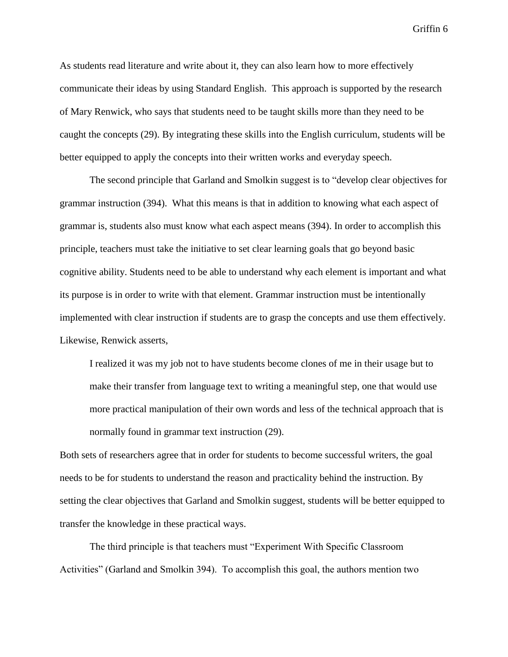As students read literature and write about it, they can also learn how to more effectively communicate their ideas by using Standard English. This approach is supported by the research of Mary Renwick, who says that students need to be taught skills more than they need to be caught the concepts (29). By integrating these skills into the English curriculum, students will be better equipped to apply the concepts into their written works and everyday speech.

The second principle that Garland and Smolkin suggest is to "develop clear objectives for grammar instruction (394). What this means is that in addition to knowing what each aspect of grammar is, students also must know what each aspect means (394). In order to accomplish this principle, teachers must take the initiative to set clear learning goals that go beyond basic cognitive ability. Students need to be able to understand why each element is important and what its purpose is in order to write with that element. Grammar instruction must be intentionally implemented with clear instruction if students are to grasp the concepts and use them effectively. Likewise, Renwick asserts,

I realized it was my job not to have students become clones of me in their usage but to make their transfer from language text to writing a meaningful step, one that would use more practical manipulation of their own words and less of the technical approach that is normally found in grammar text instruction (29).

Both sets of researchers agree that in order for students to become successful writers, the goal needs to be for students to understand the reason and practicality behind the instruction. By setting the clear objectives that Garland and Smolkin suggest, students will be better equipped to transfer the knowledge in these practical ways.

The third principle is that teachers must "Experiment With Specific Classroom Activities" (Garland and Smolkin 394). To accomplish this goal, the authors mention two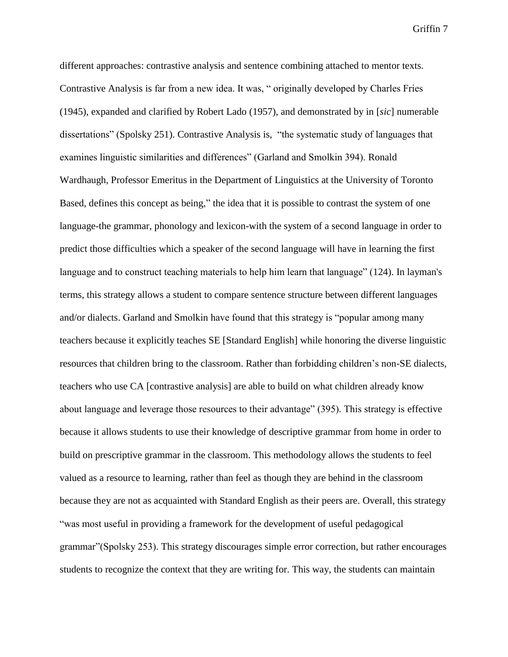different approaches: contrastive analysis and sentence combining attached to mentor texts. Contrastive Analysis is far from a new idea. It was, " originally developed by Charles Fries (1945), expanded and clarified by Robert Lado (1957), and demonstrated by in [*sic*] numerable dissertations" (Spolsky 251). Contrastive Analysis is, "the systematic study of languages that examines linguistic similarities and differences" (Garland and Smolkin 394). Ronald Wardhaugh, Professor Emeritus in the Department of Linguistics at the University of Toronto Based, defines this concept as being," the idea that it is possible to contrast the system of one language-the grammar, phonology and lexicon-with the system of a second language in order to predict those difficulties which a speaker of the second language will have in learning the first language and to construct teaching materials to help him learn that language" (124). In layman's terms, this strategy allows a student to compare sentence structure between different languages and/or dialects. Garland and Smolkin have found that this strategy is "popular among many teachers because it explicitly teaches SE [Standard English] while honoring the diverse linguistic resources that children bring to the classroom. Rather than forbidding children's non-SE dialects, teachers who use CA [contrastive analysis] are able to build on what children already know about language and leverage those resources to their advantage" (395). This strategy is effective because it allows students to use their knowledge of descriptive grammar from home in order to build on prescriptive grammar in the classroom. This methodology allows the students to feel valued as a resource to learning, rather than feel as though they are behind in the classroom because they are not as acquainted with Standard English as their peers are. Overall, this strategy "was most useful in providing a framework for the development of useful pedagogical grammar"(Spolsky 253). This strategy discourages simple error correction, but rather encourages students to recognize the context that they are writing for. This way, the students can maintain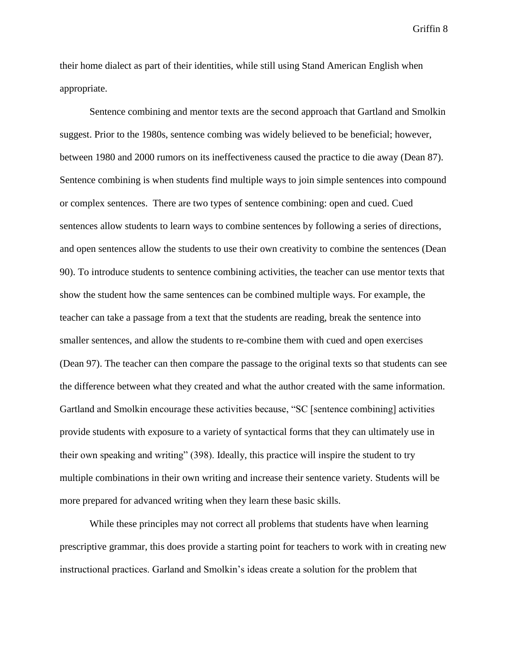their home dialect as part of their identities, while still using Stand American English when appropriate.

Sentence combining and mentor texts are the second approach that Gartland and Smolkin suggest. Prior to the 1980s, sentence combing was widely believed to be beneficial; however, between 1980 and 2000 rumors on its ineffectiveness caused the practice to die away (Dean 87). Sentence combining is when students find multiple ways to join simple sentences into compound or complex sentences. There are two types of sentence combining: open and cued. Cued sentences allow students to learn ways to combine sentences by following a series of directions, and open sentences allow the students to use their own creativity to combine the sentences (Dean 90). To introduce students to sentence combining activities, the teacher can use mentor texts that show the student how the same sentences can be combined multiple ways. For example, the teacher can take a passage from a text that the students are reading, break the sentence into smaller sentences, and allow the students to re-combine them with cued and open exercises (Dean 97). The teacher can then compare the passage to the original texts so that students can see the difference between what they created and what the author created with the same information. Gartland and Smolkin encourage these activities because, "SC [sentence combining] activities provide students with exposure to a variety of syntactical forms that they can ultimately use in their own speaking and writing" (398). Ideally, this practice will inspire the student to try multiple combinations in their own writing and increase their sentence variety. Students will be more prepared for advanced writing when they learn these basic skills.

While these principles may not correct all problems that students have when learning prescriptive grammar, this does provide a starting point for teachers to work with in creating new instructional practices. Garland and Smolkin's ideas create a solution for the problem that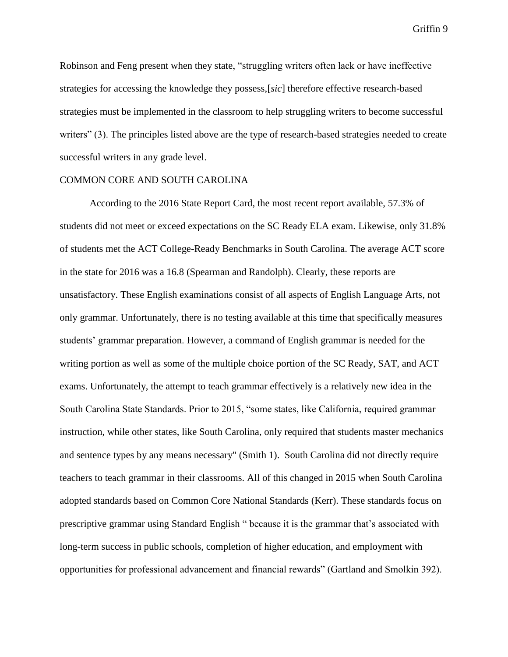Robinson and Feng present when they state, "struggling writers often lack or have ineffective strategies for accessing the knowledge they possess,[*sic*] therefore effective research-based strategies must be implemented in the classroom to help struggling writers to become successful writers" (3). The principles listed above are the type of research-based strategies needed to create successful writers in any grade level.

### COMMON CORE AND SOUTH CAROLINA

According to the 2016 State Report Card, the most recent report available, 57.3% of students did not meet or exceed expectations on the SC Ready ELA exam. Likewise, only 31.8% of students met the ACT College-Ready Benchmarks in South Carolina. The average ACT score in the state for 2016 was a 16.8 (Spearman and Randolph). Clearly, these reports are unsatisfactory. These English examinations consist of all aspects of English Language Arts, not only grammar. Unfortunately, there is no testing available at this time that specifically measures students' grammar preparation. However, a command of English grammar is needed for the writing portion as well as some of the multiple choice portion of the SC Ready, SAT, and ACT exams. Unfortunately, the attempt to teach grammar effectively is a relatively new idea in the South Carolina State Standards. Prior to 2015, "some states, like California, required grammar instruction, while other states, like South Carolina, only required that students master mechanics and sentence types by any means necessary" (Smith 1). South Carolina did not directly require teachers to teach grammar in their classrooms. All of this changed in 2015 when South Carolina adopted standards based on Common Core National Standards (Kerr). These standards focus on prescriptive grammar using Standard English " because it is the grammar that's associated with long-term success in public schools, completion of higher education, and employment with opportunities for professional advancement and financial rewards" (Gartland and Smolkin 392).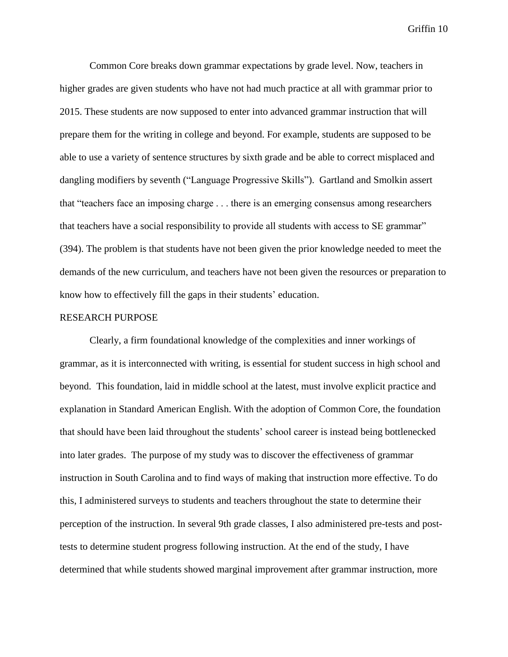Common Core breaks down grammar expectations by grade level. Now, teachers in higher grades are given students who have not had much practice at all with grammar prior to 2015. These students are now supposed to enter into advanced grammar instruction that will prepare them for the writing in college and beyond. For example, students are supposed to be able to use a variety of sentence structures by sixth grade and be able to correct misplaced and dangling modifiers by seventh ("Language Progressive Skills"). Gartland and Smolkin assert that "teachers face an imposing charge . . . there is an emerging consensus among researchers that teachers have a social responsibility to provide all students with access to SE grammar" (394). The problem is that students have not been given the prior knowledge needed to meet the demands of the new curriculum, and teachers have not been given the resources or preparation to know how to effectively fill the gaps in their students' education.

#### RESEARCH PURPOSE

Clearly, a firm foundational knowledge of the complexities and inner workings of grammar, as it is interconnected with writing, is essential for student success in high school and beyond. This foundation, laid in middle school at the latest, must involve explicit practice and explanation in Standard American English. With the adoption of Common Core, the foundation that should have been laid throughout the students' school career is instead being bottlenecked into later grades. The purpose of my study was to discover the effectiveness of grammar instruction in South Carolina and to find ways of making that instruction more effective. To do this, I administered surveys to students and teachers throughout the state to determine their perception of the instruction. In several 9th grade classes, I also administered pre-tests and posttests to determine student progress following instruction. At the end of the study, I have determined that while students showed marginal improvement after grammar instruction, more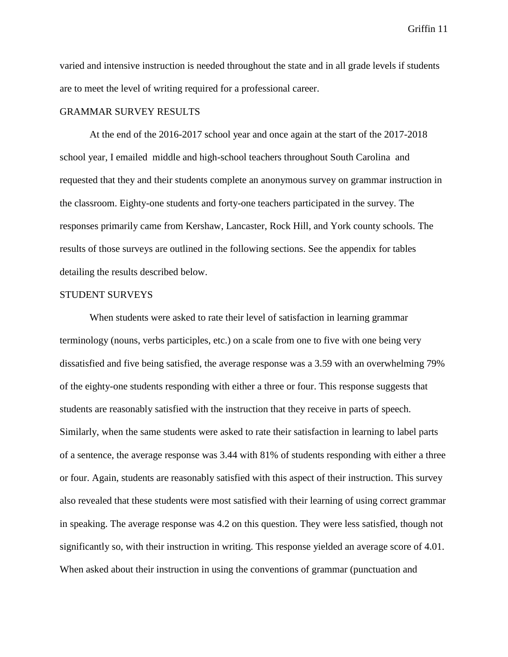varied and intensive instruction is needed throughout the state and in all grade levels if students are to meet the level of writing required for a professional career.

#### GRAMMAR SURVEY RESULTS

At the end of the 2016-2017 school year and once again at the start of the 2017-2018 school year, I emailed middle and high-school teachers throughout South Carolina and requested that they and their students complete an anonymous survey on grammar instruction in the classroom. Eighty-one students and forty-one teachers participated in the survey. The responses primarily came from Kershaw, Lancaster, Rock Hill, and York county schools. The results of those surveys are outlined in the following sections. See the appendix for tables detailing the results described below.

#### STUDENT SURVEYS

When students were asked to rate their level of satisfaction in learning grammar terminology (nouns, verbs participles, etc.) on a scale from one to five with one being very dissatisfied and five being satisfied, the average response was a 3.59 with an overwhelming 79% of the eighty-one students responding with either a three or four. This response suggests that students are reasonably satisfied with the instruction that they receive in parts of speech. Similarly, when the same students were asked to rate their satisfaction in learning to label parts of a sentence, the average response was 3.44 with 81% of students responding with either a three or four. Again, students are reasonably satisfied with this aspect of their instruction. This survey also revealed that these students were most satisfied with their learning of using correct grammar in speaking. The average response was 4.2 on this question. They were less satisfied, though not significantly so, with their instruction in writing. This response yielded an average score of 4.01. When asked about their instruction in using the conventions of grammar (punctuation and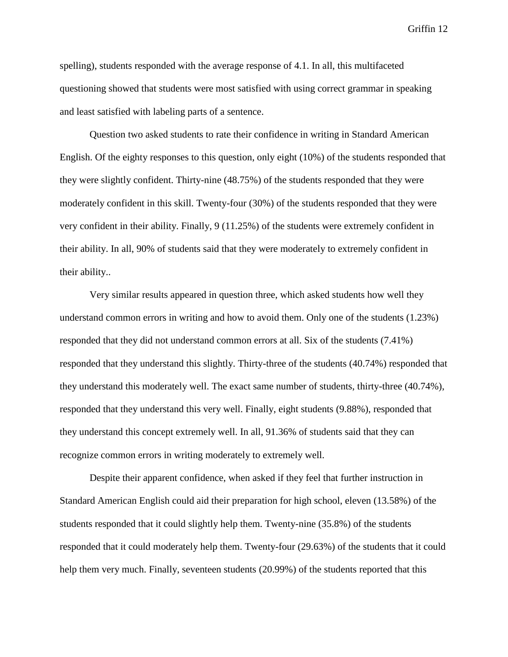spelling), students responded with the average response of 4.1. In all, this multifaceted questioning showed that students were most satisfied with using correct grammar in speaking and least satisfied with labeling parts of a sentence.

Question two asked students to rate their confidence in writing in Standard American English. Of the eighty responses to this question, only eight (10%) of the students responded that they were slightly confident. Thirty-nine (48.75%) of the students responded that they were moderately confident in this skill. Twenty-four (30%) of the students responded that they were very confident in their ability. Finally, 9 (11.25%) of the students were extremely confident in their ability. In all, 90% of students said that they were moderately to extremely confident in their ability..

Very similar results appeared in question three, which asked students how well they understand common errors in writing and how to avoid them. Only one of the students (1.23%) responded that they did not understand common errors at all. Six of the students (7.41%) responded that they understand this slightly. Thirty-three of the students (40.74%) responded that they understand this moderately well. The exact same number of students, thirty-three (40.74%), responded that they understand this very well. Finally, eight students (9.88%), responded that they understand this concept extremely well. In all, 91.36% of students said that they can recognize common errors in writing moderately to extremely well.

Despite their apparent confidence, when asked if they feel that further instruction in Standard American English could aid their preparation for high school, eleven (13.58%) of the students responded that it could slightly help them. Twenty-nine (35.8%) of the students responded that it could moderately help them. Twenty-four (29.63%) of the students that it could help them very much. Finally, seventeen students (20.99%) of the students reported that this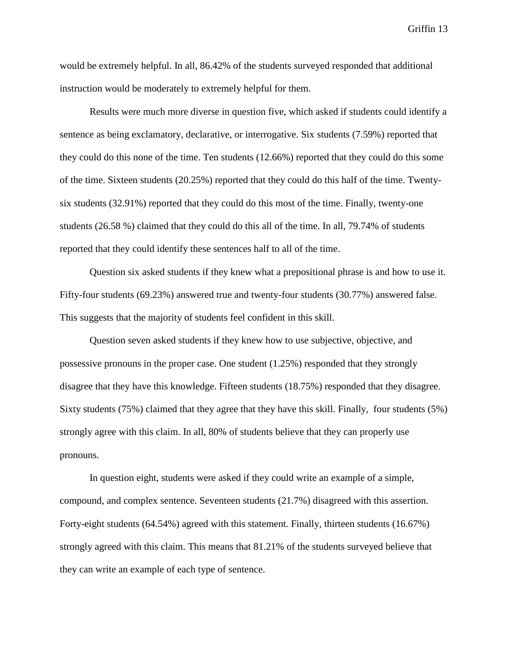would be extremely helpful. In all, 86.42% of the students surveyed responded that additional instruction would be moderately to extremely helpful for them.

Results were much more diverse in question five, which asked if students could identify a sentence as being exclamatory, declarative, or interrogative. Six students (7.59%) reported that they could do this none of the time. Ten students (12.66%) reported that they could do this some of the time. Sixteen students (20.25%) reported that they could do this half of the time. Twentysix students (32.91%) reported that they could do this most of the time. Finally, twenty-one students (26.58 %) claimed that they could do this all of the time. In all, 79.74% of students reported that they could identify these sentences half to all of the time.

Question six asked students if they knew what a prepositional phrase is and how to use it. Fifty-four students (69.23%) answered true and twenty-four students (30.77%) answered false. This suggests that the majority of students feel confident in this skill.

Question seven asked students if they knew how to use subjective, objective, and possessive pronouns in the proper case. One student (1.25%) responded that they strongly disagree that they have this knowledge. Fifteen students (18.75%) responded that they disagree. Sixty students (75%) claimed that they agree that they have this skill. Finally, four students (5%) strongly agree with this claim. In all, 80% of students believe that they can properly use pronouns.

In question eight, students were asked if they could write an example of a simple, compound, and complex sentence. Seventeen students (21.7%) disagreed with this assertion. Forty-eight students (64.54%) agreed with this statement. Finally, thirteen students (16.67%) strongly agreed with this claim. This means that 81.21% of the students surveyed believe that they can write an example of each type of sentence.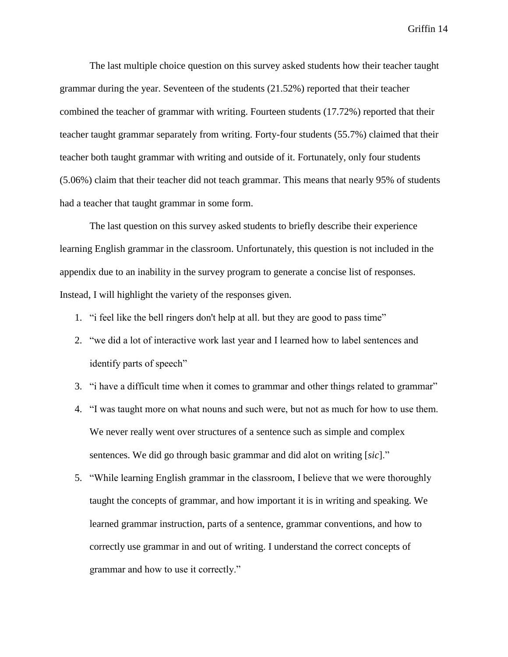The last multiple choice question on this survey asked students how their teacher taught grammar during the year. Seventeen of the students (21.52%) reported that their teacher combined the teacher of grammar with writing. Fourteen students (17.72%) reported that their teacher taught grammar separately from writing. Forty-four students (55.7%) claimed that their teacher both taught grammar with writing and outside of it. Fortunately, only four students (5.06%) claim that their teacher did not teach grammar. This means that nearly 95% of students had a teacher that taught grammar in some form.

The last question on this survey asked students to briefly describe their experience learning English grammar in the classroom. Unfortunately, this question is not included in the appendix due to an inability in the survey program to generate a concise list of responses. Instead, I will highlight the variety of the responses given.

- 1. "i feel like the bell ringers don't help at all. but they are good to pass time"
- 2. "we did a lot of interactive work last year and I learned how to label sentences and identify parts of speech"
- 3. "i have a difficult time when it comes to grammar and other things related to grammar"
- 4. "I was taught more on what nouns and such were, but not as much for how to use them. We never really went over structures of a sentence such as simple and complex sentences. We did go through basic grammar and did alot on writing [*sic*]."
- 5. "While learning English grammar in the classroom, I believe that we were thoroughly taught the concepts of grammar, and how important it is in writing and speaking. We learned grammar instruction, parts of a sentence, grammar conventions, and how to correctly use grammar in and out of writing. I understand the correct concepts of grammar and how to use it correctly."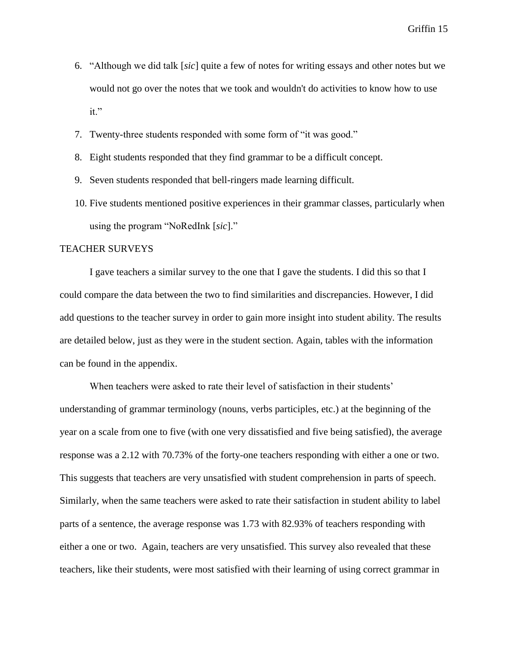- 6. "Although we did talk [*sic*] quite a few of notes for writing essays and other notes but we would not go over the notes that we took and wouldn't do activities to know how to use it."
- 7. Twenty-three students responded with some form of "it was good."
- 8. Eight students responded that they find grammar to be a difficult concept.
- 9. Seven students responded that bell-ringers made learning difficult.
- 10. Five students mentioned positive experiences in their grammar classes, particularly when using the program "NoRedInk [*sic*]."

## TEACHER SURVEYS

I gave teachers a similar survey to the one that I gave the students. I did this so that I could compare the data between the two to find similarities and discrepancies. However, I did add questions to the teacher survey in order to gain more insight into student ability. The results are detailed below, just as they were in the student section. Again, tables with the information can be found in the appendix.

When teachers were asked to rate their level of satisfaction in their students' understanding of grammar terminology (nouns, verbs participles, etc.) at the beginning of the year on a scale from one to five (with one very dissatisfied and five being satisfied), the average response was a 2.12 with 70.73% of the forty-one teachers responding with either a one or two. This suggests that teachers are very unsatisfied with student comprehension in parts of speech. Similarly, when the same teachers were asked to rate their satisfaction in student ability to label parts of a sentence, the average response was 1.73 with 82.93% of teachers responding with either a one or two. Again, teachers are very unsatisfied. This survey also revealed that these teachers, like their students, were most satisfied with their learning of using correct grammar in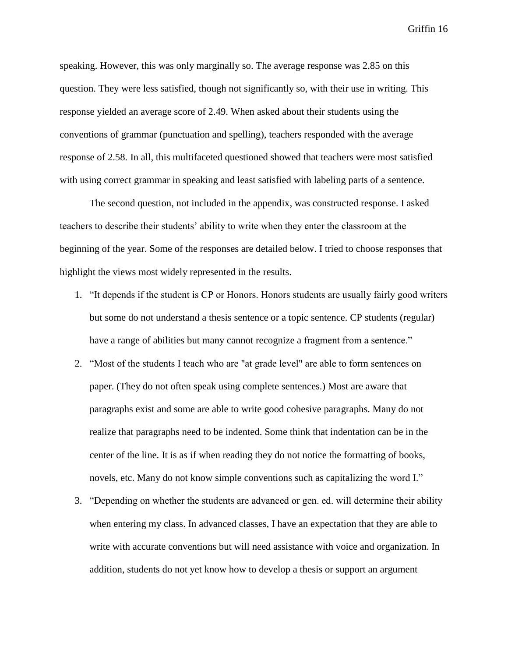speaking. However, this was only marginally so. The average response was 2.85 on this question. They were less satisfied, though not significantly so, with their use in writing. This response yielded an average score of 2.49. When asked about their students using the conventions of grammar (punctuation and spelling), teachers responded with the average response of 2.58. In all, this multifaceted questioned showed that teachers were most satisfied with using correct grammar in speaking and least satisfied with labeling parts of a sentence.

The second question, not included in the appendix, was constructed response. I asked teachers to describe their students' ability to write when they enter the classroom at the beginning of the year. Some of the responses are detailed below. I tried to choose responses that highlight the views most widely represented in the results.

- 1. "It depends if the student is CP or Honors. Honors students are usually fairly good writers but some do not understand a thesis sentence or a topic sentence. CP students (regular) have a range of abilities but many cannot recognize a fragment from a sentence."
- 2. "Most of the students I teach who are "at grade level" are able to form sentences on paper. (They do not often speak using complete sentences.) Most are aware that paragraphs exist and some are able to write good cohesive paragraphs. Many do not realize that paragraphs need to be indented. Some think that indentation can be in the center of the line. It is as if when reading they do not notice the formatting of books, novels, etc. Many do not know simple conventions such as capitalizing the word I."
- 3. "Depending on whether the students are advanced or gen. ed. will determine their ability when entering my class. In advanced classes, I have an expectation that they are able to write with accurate conventions but will need assistance with voice and organization. In addition, students do not yet know how to develop a thesis or support an argument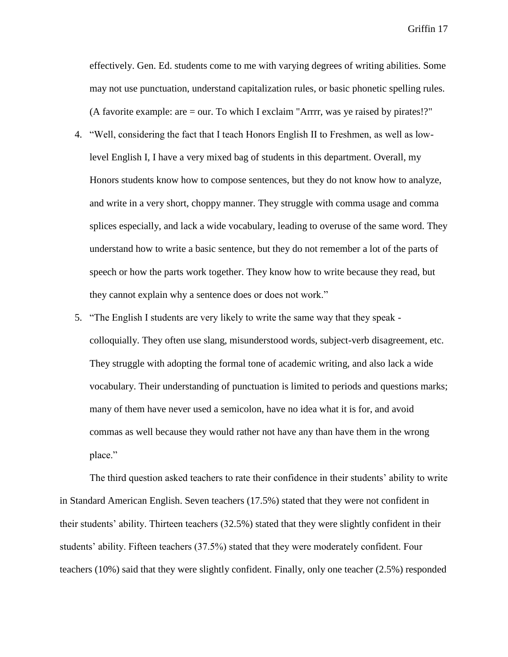effectively. Gen. Ed. students come to me with varying degrees of writing abilities. Some may not use punctuation, understand capitalization rules, or basic phonetic spelling rules. (A favorite example: are = our. To which I exclaim "Arrrr, was ye raised by pirates!?"

- 4. "Well, considering the fact that I teach Honors English II to Freshmen, as well as lowlevel English I, I have a very mixed bag of students in this department. Overall, my Honors students know how to compose sentences, but they do not know how to analyze, and write in a very short, choppy manner. They struggle with comma usage and comma splices especially, and lack a wide vocabulary, leading to overuse of the same word. They understand how to write a basic sentence, but they do not remember a lot of the parts of speech or how the parts work together. They know how to write because they read, but they cannot explain why a sentence does or does not work."
- 5. "The English I students are very likely to write the same way that they speak colloquially. They often use slang, misunderstood words, subject-verb disagreement, etc. They struggle with adopting the formal tone of academic writing, and also lack a wide vocabulary. Their understanding of punctuation is limited to periods and questions marks; many of them have never used a semicolon, have no idea what it is for, and avoid commas as well because they would rather not have any than have them in the wrong place."

The third question asked teachers to rate their confidence in their students' ability to write in Standard American English. Seven teachers (17.5%) stated that they were not confident in their students' ability. Thirteen teachers (32.5%) stated that they were slightly confident in their students' ability. Fifteen teachers (37.5%) stated that they were moderately confident. Four teachers (10%) said that they were slightly confident. Finally, only one teacher (2.5%) responded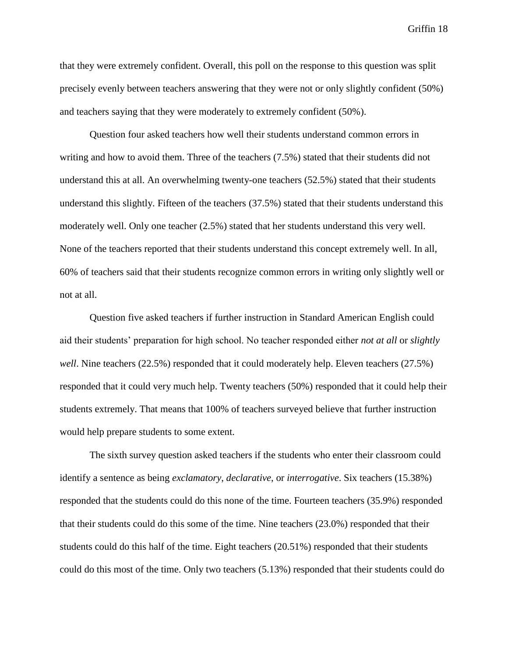that they were extremely confident. Overall, this poll on the response to this question was split precisely evenly between teachers answering that they were not or only slightly confident (50%) and teachers saying that they were moderately to extremely confident (50%).

Question four asked teachers how well their students understand common errors in writing and how to avoid them. Three of the teachers (7.5%) stated that their students did not understand this at all. An overwhelming twenty-one teachers (52.5%) stated that their students understand this slightly. Fifteen of the teachers (37.5%) stated that their students understand this moderately well. Only one teacher (2.5%) stated that her students understand this very well. None of the teachers reported that their students understand this concept extremely well. In all, 60% of teachers said that their students recognize common errors in writing only slightly well or not at all.

Question five asked teachers if further instruction in Standard American English could aid their students' preparation for high school. No teacher responded either *not at all* or *slightly well*. Nine teachers (22.5%) responded that it could moderately help. Eleven teachers (27.5%) responded that it could very much help. Twenty teachers (50%) responded that it could help their students extremely. That means that 100% of teachers surveyed believe that further instruction would help prepare students to some extent.

The sixth survey question asked teachers if the students who enter their classroom could identify a sentence as being *exclamatory*, *declarative*, or *interrogative*. Six teachers (15.38%) responded that the students could do this none of the time. Fourteen teachers (35.9%) responded that their students could do this some of the time. Nine teachers (23.0%) responded that their students could do this half of the time. Eight teachers (20.51%) responded that their students could do this most of the time. Only two teachers (5.13%) responded that their students could do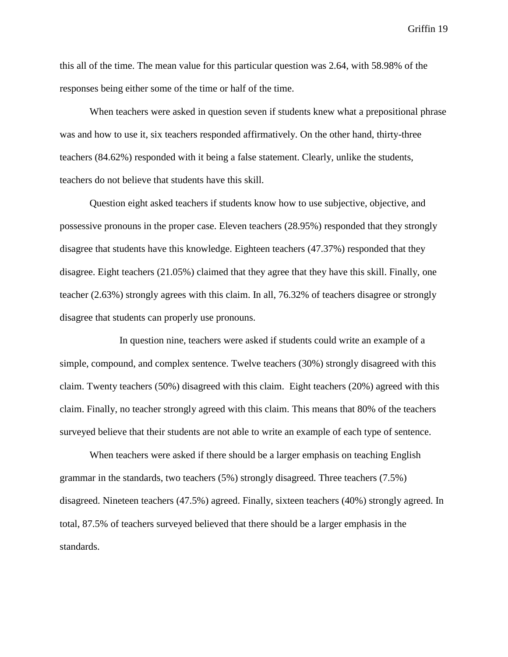this all of the time. The mean value for this particular question was 2.64, with 58.98% of the responses being either some of the time or half of the time.

When teachers were asked in question seven if students knew what a prepositional phrase was and how to use it, six teachers responded affirmatively. On the other hand, thirty-three teachers (84.62%) responded with it being a false statement. Clearly, unlike the students, teachers do not believe that students have this skill.

Question eight asked teachers if students know how to use subjective, objective, and possessive pronouns in the proper case. Eleven teachers (28.95%) responded that they strongly disagree that students have this knowledge. Eighteen teachers (47.37%) responded that they disagree. Eight teachers (21.05%) claimed that they agree that they have this skill. Finally, one teacher (2.63%) strongly agrees with this claim. In all, 76.32% of teachers disagree or strongly disagree that students can properly use pronouns.

In question nine, teachers were asked if students could write an example of a simple, compound, and complex sentence. Twelve teachers (30%) strongly disagreed with this claim. Twenty teachers (50%) disagreed with this claim. Eight teachers (20%) agreed with this claim. Finally, no teacher strongly agreed with this claim. This means that 80% of the teachers surveyed believe that their students are not able to write an example of each type of sentence.

When teachers were asked if there should be a larger emphasis on teaching English grammar in the standards, two teachers (5%) strongly disagreed. Three teachers (7.5%) disagreed. Nineteen teachers (47.5%) agreed. Finally, sixteen teachers (40%) strongly agreed. In total, 87.5% of teachers surveyed believed that there should be a larger emphasis in the standards.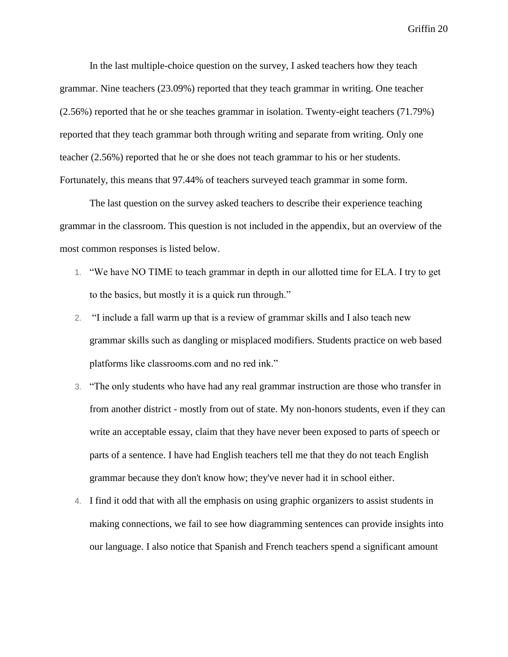In the last multiple-choice question on the survey, I asked teachers how they teach grammar. Nine teachers (23.09%) reported that they teach grammar in writing. One teacher (2.56%) reported that he or she teaches grammar in isolation. Twenty-eight teachers (71.79%) reported that they teach grammar both through writing and separate from writing. Only one teacher (2.56%) reported that he or she does not teach grammar to his or her students. Fortunately, this means that 97.44% of teachers surveyed teach grammar in some form.

The last question on the survey asked teachers to describe their experience teaching grammar in the classroom. This question is not included in the appendix, but an overview of the most common responses is listed below.

- 1. "We have NO TIME to teach grammar in depth in our allotted time for ELA. I try to get to the basics, but mostly it is a quick run through."
- 2. "I include a fall warm up that is a review of grammar skills and I also teach new grammar skills such as dangling or misplaced modifiers. Students practice on web based platforms like classrooms.com and no red ink."
- 3. "The only students who have had any real grammar instruction are those who transfer in from another district - mostly from out of state. My non-honors students, even if they can write an acceptable essay, claim that they have never been exposed to parts of speech or parts of a sentence. I have had English teachers tell me that they do not teach English grammar because they don't know how; they've never had it in school either.
- 4. I find it odd that with all the emphasis on using graphic organizers to assist students in making connections, we fail to see how diagramming sentences can provide insights into our language. I also notice that Spanish and French teachers spend a significant amount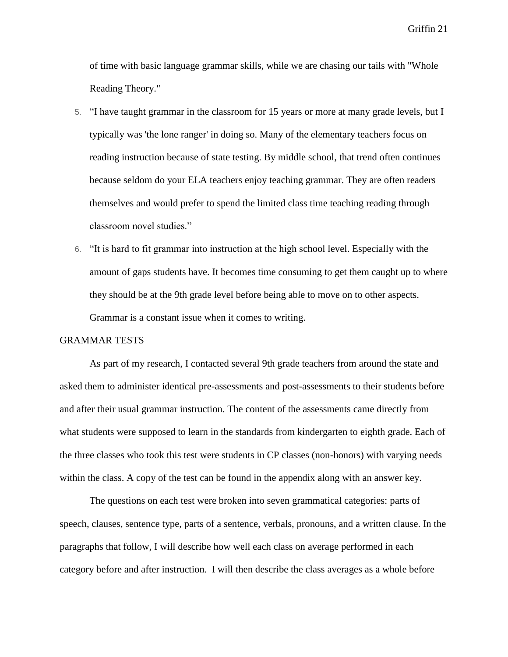of time with basic language grammar skills, while we are chasing our tails with "Whole Reading Theory."

- 5. "I have taught grammar in the classroom for 15 years or more at many grade levels, but I typically was 'the lone ranger' in doing so. Many of the elementary teachers focus on reading instruction because of state testing. By middle school, that trend often continues because seldom do your ELA teachers enjoy teaching grammar. They are often readers themselves and would prefer to spend the limited class time teaching reading through classroom novel studies."
- 6. "It is hard to fit grammar into instruction at the high school level. Especially with the amount of gaps students have. It becomes time consuming to get them caught up to where they should be at the 9th grade level before being able to move on to other aspects. Grammar is a constant issue when it comes to writing.

## GRAMMAR TESTS

As part of my research, I contacted several 9th grade teachers from around the state and asked them to administer identical pre-assessments and post-assessments to their students before and after their usual grammar instruction. The content of the assessments came directly from what students were supposed to learn in the standards from kindergarten to eighth grade. Each of the three classes who took this test were students in CP classes (non-honors) with varying needs within the class. A copy of the test can be found in the appendix along with an answer key.

The questions on each test were broken into seven grammatical categories: parts of speech, clauses, sentence type, parts of a sentence, verbals, pronouns, and a written clause. In the paragraphs that follow, I will describe how well each class on average performed in each category before and after instruction. I will then describe the class averages as a whole before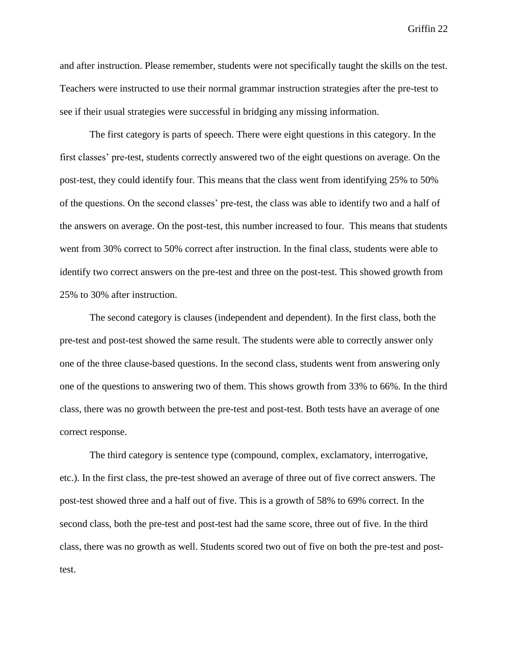and after instruction. Please remember, students were not specifically taught the skills on the test. Teachers were instructed to use their normal grammar instruction strategies after the pre-test to see if their usual strategies were successful in bridging any missing information.

The first category is parts of speech. There were eight questions in this category. In the first classes' pre-test, students correctly answered two of the eight questions on average. On the post-test, they could identify four. This means that the class went from identifying 25% to 50% of the questions. On the second classes' pre-test, the class was able to identify two and a half of the answers on average. On the post-test, this number increased to four. This means that students went from 30% correct to 50% correct after instruction. In the final class, students were able to identify two correct answers on the pre-test and three on the post-test. This showed growth from 25% to 30% after instruction.

The second category is clauses (independent and dependent). In the first class, both the pre-test and post-test showed the same result. The students were able to correctly answer only one of the three clause-based questions. In the second class, students went from answering only one of the questions to answering two of them. This shows growth from 33% to 66%. In the third class, there was no growth between the pre-test and post-test. Both tests have an average of one correct response.

The third category is sentence type (compound, complex, exclamatory, interrogative, etc.). In the first class, the pre-test showed an average of three out of five correct answers. The post-test showed three and a half out of five. This is a growth of 58% to 69% correct. In the second class, both the pre-test and post-test had the same score, three out of five. In the third class, there was no growth as well. Students scored two out of five on both the pre-test and posttest.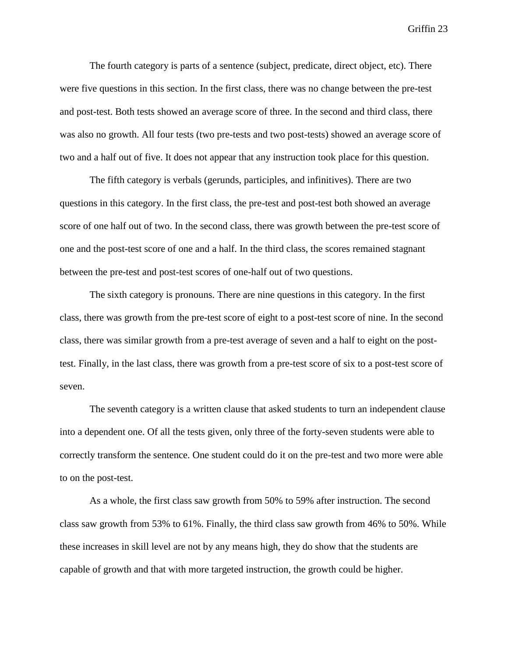The fourth category is parts of a sentence (subject, predicate, direct object, etc). There were five questions in this section. In the first class, there was no change between the pre-test and post-test. Both tests showed an average score of three. In the second and third class, there was also no growth. All four tests (two pre-tests and two post-tests) showed an average score of two and a half out of five. It does not appear that any instruction took place for this question.

The fifth category is verbals (gerunds, participles, and infinitives). There are two questions in this category. In the first class, the pre-test and post-test both showed an average score of one half out of two. In the second class, there was growth between the pre-test score of one and the post-test score of one and a half. In the third class, the scores remained stagnant between the pre-test and post-test scores of one-half out of two questions.

The sixth category is pronouns. There are nine questions in this category. In the first class, there was growth from the pre-test score of eight to a post-test score of nine. In the second class, there was similar growth from a pre-test average of seven and a half to eight on the posttest. Finally, in the last class, there was growth from a pre-test score of six to a post-test score of seven.

The seventh category is a written clause that asked students to turn an independent clause into a dependent one. Of all the tests given, only three of the forty-seven students were able to correctly transform the sentence. One student could do it on the pre-test and two more were able to on the post-test.

As a whole, the first class saw growth from 50% to 59% after instruction. The second class saw growth from 53% to 61%. Finally, the third class saw growth from 46% to 50%. While these increases in skill level are not by any means high, they do show that the students are capable of growth and that with more targeted instruction, the growth could be higher.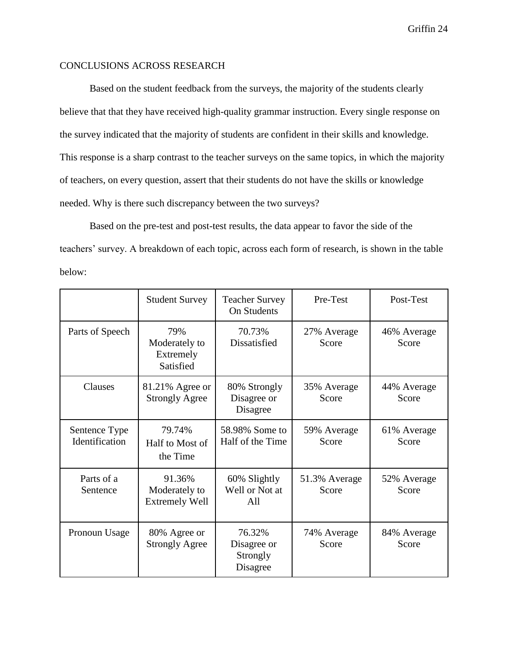## CONCLUSIONS ACROSS RESEARCH

Based on the student feedback from the surveys, the majority of the students clearly believe that that they have received high-quality grammar instruction. Every single response on the survey indicated that the majority of students are confident in their skills and knowledge. This response is a sharp contrast to the teacher surveys on the same topics, in which the majority of teachers, on every question, assert that their students do not have the skills or knowledge needed. Why is there such discrepancy between the two surveys?

Based on the pre-test and post-test results, the data appear to favor the side of the teachers' survey. A breakdown of each topic, across each form of research, is shown in the table below:

|                                 | <b>Student Survey</b>                            | <b>Teacher Survey</b><br><b>On Students</b>                     | Pre-Test               | Post-Test            |
|---------------------------------|--------------------------------------------------|-----------------------------------------------------------------|------------------------|----------------------|
| Parts of Speech                 | 79%<br>Moderately to<br>Extremely<br>Satisfied   | 70.73%<br>27% Average<br>Dissatisfied<br>Score                  |                        | 46% Average<br>Score |
| Clauses                         | 81.21% Agree or<br><b>Strongly Agree</b>         | 80% Strongly<br>35% Average<br>Disagree or<br>Score<br>Disagree |                        | 44% Average<br>Score |
| Sentence Type<br>Identification | 79.74%<br>Half to Most of<br>the Time            | 58.98% Some to<br>Half of the Time                              | 59% Average<br>Score   | 61% Average<br>Score |
| Parts of a<br>Sentence          | 91.36%<br>Moderately to<br><b>Extremely Well</b> | 60% Slightly<br>Well or Not at<br>All                           | 51.3% Average<br>Score | 52% Average<br>Score |
| Pronoun Usage                   | 80% Agree or<br><b>Strongly Agree</b>            | 76.32%<br>Disagree or<br>Strongly<br>Disagree                   | 74% Average<br>Score   | 84% Average<br>Score |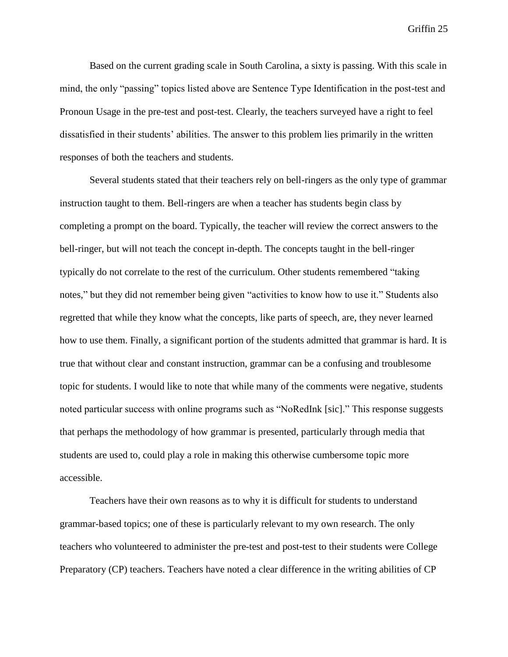Based on the current grading scale in South Carolina, a sixty is passing. With this scale in mind, the only "passing" topics listed above are Sentence Type Identification in the post-test and Pronoun Usage in the pre-test and post-test. Clearly, the teachers surveyed have a right to feel dissatisfied in their students' abilities. The answer to this problem lies primarily in the written responses of both the teachers and students.

Several students stated that their teachers rely on bell-ringers as the only type of grammar instruction taught to them. Bell-ringers are when a teacher has students begin class by completing a prompt on the board. Typically, the teacher will review the correct answers to the bell-ringer, but will not teach the concept in-depth. The concepts taught in the bell-ringer typically do not correlate to the rest of the curriculum. Other students remembered "taking notes," but they did not remember being given "activities to know how to use it." Students also regretted that while they know what the concepts, like parts of speech, are, they never learned how to use them. Finally, a significant portion of the students admitted that grammar is hard. It is true that without clear and constant instruction, grammar can be a confusing and troublesome topic for students. I would like to note that while many of the comments were negative, students noted particular success with online programs such as "NoRedInk [sic]." This response suggests that perhaps the methodology of how grammar is presented, particularly through media that students are used to, could play a role in making this otherwise cumbersome topic more accessible.

Teachers have their own reasons as to why it is difficult for students to understand grammar-based topics; one of these is particularly relevant to my own research. The only teachers who volunteered to administer the pre-test and post-test to their students were College Preparatory (CP) teachers. Teachers have noted a clear difference in the writing abilities of CP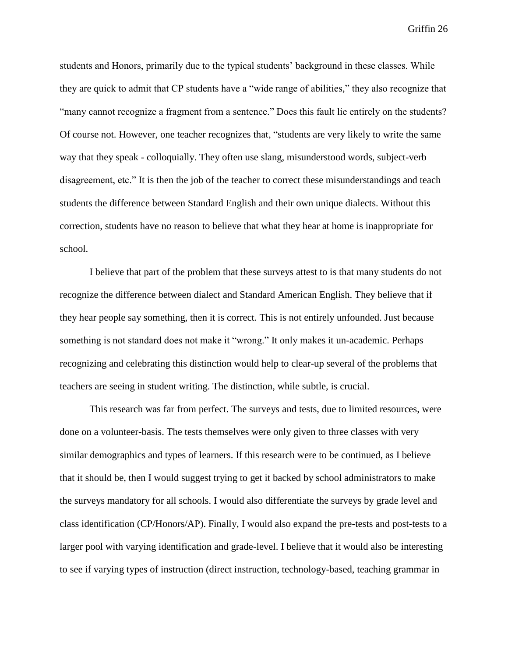students and Honors, primarily due to the typical students' background in these classes. While they are quick to admit that CP students have a "wide range of abilities," they also recognize that "many cannot recognize a fragment from a sentence." Does this fault lie entirely on the students? Of course not. However, one teacher recognizes that, "students are very likely to write the same way that they speak - colloquially. They often use slang, misunderstood words, subject-verb disagreement, etc." It is then the job of the teacher to correct these misunderstandings and teach students the difference between Standard English and their own unique dialects. Without this correction, students have no reason to believe that what they hear at home is inappropriate for school.

I believe that part of the problem that these surveys attest to is that many students do not recognize the difference between dialect and Standard American English. They believe that if they hear people say something, then it is correct. This is not entirely unfounded. Just because something is not standard does not make it "wrong." It only makes it un-academic. Perhaps recognizing and celebrating this distinction would help to clear-up several of the problems that teachers are seeing in student writing. The distinction, while subtle, is crucial.

This research was far from perfect. The surveys and tests, due to limited resources, were done on a volunteer-basis. The tests themselves were only given to three classes with very similar demographics and types of learners. If this research were to be continued, as I believe that it should be, then I would suggest trying to get it backed by school administrators to make the surveys mandatory for all schools. I would also differentiate the surveys by grade level and class identification (CP/Honors/AP). Finally, I would also expand the pre-tests and post-tests to a larger pool with varying identification and grade-level. I believe that it would also be interesting to see if varying types of instruction (direct instruction, technology-based, teaching grammar in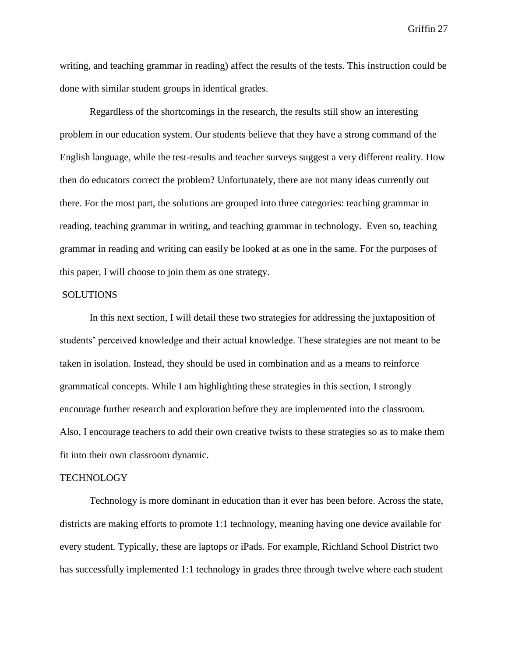writing, and teaching grammar in reading) affect the results of the tests. This instruction could be done with similar student groups in identical grades.

Regardless of the shortcomings in the research, the results still show an interesting problem in our education system. Our students believe that they have a strong command of the English language, while the test-results and teacher surveys suggest a very different reality. How then do educators correct the problem? Unfortunately, there are not many ideas currently out there. For the most part, the solutions are grouped into three categories: teaching grammar in reading, teaching grammar in writing, and teaching grammar in technology. Even so, teaching grammar in reading and writing can easily be looked at as one in the same. For the purposes of this paper, I will choose to join them as one strategy.

#### **SOLUTIONS**

In this next section, I will detail these two strategies for addressing the juxtaposition of students' perceived knowledge and their actual knowledge. These strategies are not meant to be taken in isolation. Instead, they should be used in combination and as a means to reinforce grammatical concepts. While I am highlighting these strategies in this section, I strongly encourage further research and exploration before they are implemented into the classroom. Also, I encourage teachers to add their own creative twists to these strategies so as to make them fit into their own classroom dynamic.

#### **TECHNOLOGY**

Technology is more dominant in education than it ever has been before. Across the state, districts are making efforts to promote 1:1 technology, meaning having one device available for every student. Typically, these are laptops or iPads. For example, Richland School District two has successfully implemented 1:1 technology in grades three through twelve where each student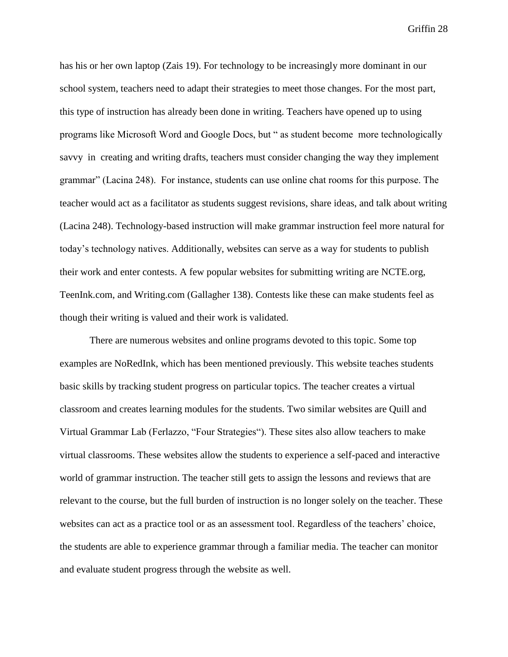has his or her own laptop (Zais 19). For technology to be increasingly more dominant in our school system, teachers need to adapt their strategies to meet those changes. For the most part, this type of instruction has already been done in writing. Teachers have opened up to using programs like Microsoft Word and Google Docs, but " as student become more technologically savvy in creating and writing drafts, teachers must consider changing the way they implement grammar" (Lacina 248). For instance, students can use online chat rooms for this purpose. The teacher would act as a facilitator as students suggest revisions, share ideas, and talk about writing (Lacina 248). Technology-based instruction will make grammar instruction feel more natural for today's technology natives. Additionally, websites can serve as a way for students to publish their work and enter contests. A few popular websites for submitting writing are NCTE.org, TeenInk.com, and Writing.com (Gallagher 138). Contests like these can make students feel as though their writing is valued and their work is validated.

There are numerous websites and online programs devoted to this topic. Some top examples are NoRedInk, which has been mentioned previously. This website teaches students basic skills by tracking student progress on particular topics. The teacher creates a virtual classroom and creates learning modules for the students. Two similar websites are Quill and Virtual Grammar Lab (Ferlazzo, "Four Strategies"). These sites also allow teachers to make virtual classrooms. These websites allow the students to experience a self-paced and interactive world of grammar instruction. The teacher still gets to assign the lessons and reviews that are relevant to the course, but the full burden of instruction is no longer solely on the teacher. These websites can act as a practice tool or as an assessment tool. Regardless of the teachers' choice, the students are able to experience grammar through a familiar media. The teacher can monitor and evaluate student progress through the website as well.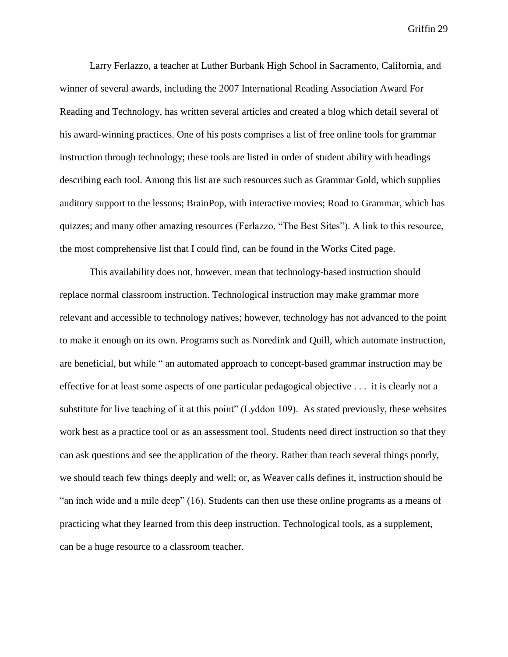Larry Ferlazzo, a teacher at Luther Burbank High School in Sacramento, California, and winner of several awards, including the 2007 International Reading Association Award For Reading and Technology, has written several articles and created a blog which detail several of his award-winning practices. One of his posts comprises a list of free online tools for grammar instruction through technology; these tools are listed in order of student ability with headings describing each tool. Among this list are such resources such as Grammar Gold, which supplies auditory support to the lessons; BrainPop, with interactive movies; Road to Grammar, which has quizzes; and many other amazing resources (Ferlazzo, "The Best Sites"). A link to this resource, the most comprehensive list that I could find, can be found in the Works Cited page.

This availability does not, however, mean that technology-based instruction should replace normal classroom instruction. Technological instruction may make grammar more relevant and accessible to technology natives; however, technology has not advanced to the point to make it enough on its own. Programs such as Noredink and Quill, which automate instruction, are beneficial, but while " an automated approach to concept-based grammar instruction may be effective for at least some aspects of one particular pedagogical objective . . . it is clearly not a substitute for live teaching of it at this point" (Lyddon 109). As stated previously, these websites work best as a practice tool or as an assessment tool. Students need direct instruction so that they can ask questions and see the application of the theory. Rather than teach several things poorly, we should teach few things deeply and well; or, as Weaver calls defines it, instruction should be "an inch wide and a mile deep" (16). Students can then use these online programs as a means of practicing what they learned from this deep instruction. Technological tools, as a supplement, can be a huge resource to a classroom teacher.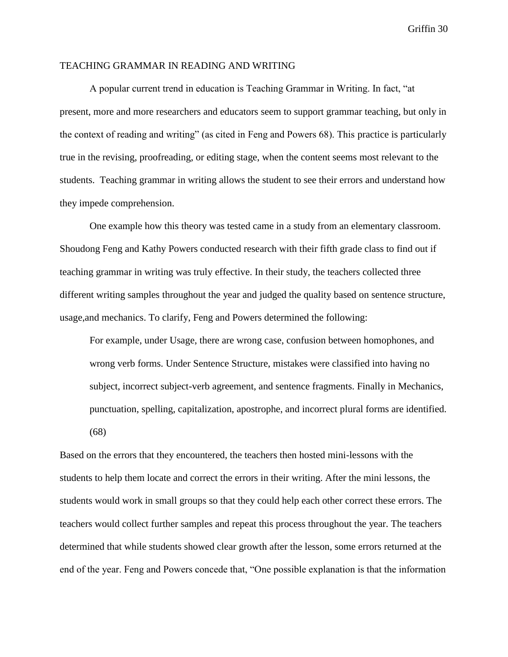### TEACHING GRAMMAR IN READING AND WRITING

A popular current trend in education is Teaching Grammar in Writing. In fact, "at present, more and more researchers and educators seem to support grammar teaching, but only in the context of reading and writing" (as cited in Feng and Powers 68). This practice is particularly true in the revising, proofreading, or editing stage, when the content seems most relevant to the students. Teaching grammar in writing allows the student to see their errors and understand how they impede comprehension.

One example how this theory was tested came in a study from an elementary classroom. [Shoudong Feng](http://go.galegroup.com/ps/advancedSearch.do?method=doSearch&searchType=AdvancedSearchForm&userGroupName=winthropudl&inputFieldNames%5B0%5D=AU&prodId=AONE&inputFieldValues%5B0%5D=%22Shoudong+Feng%22) and Kathy Powers conducted research with their fifth grade class to find out if teaching grammar in writing was truly effective. In their study, the teachers collected three different writing samples throughout the year and judged the quality based on sentence structure, usage,and mechanics. To clarify, Feng and Powers determined the following:

For example, under Usage, there are wrong case, confusion between homophones, and wrong verb forms. Under Sentence Structure, mistakes were classified into having no subject, incorrect subject-verb agreement, and sentence fragments. Finally in Mechanics, punctuation, spelling, capitalization, apostrophe, and incorrect plural forms are identified. (68)

Based on the errors that they encountered, the teachers then hosted mini-lessons with the students to help them locate and correct the errors in their writing. After the mini lessons, the students would work in small groups so that they could help each other correct these errors. The teachers would collect further samples and repeat this process throughout the year. The teachers determined that while students showed clear growth after the lesson, some errors returned at the end of the year. Feng and Powers concede that, "One possible explanation is that the information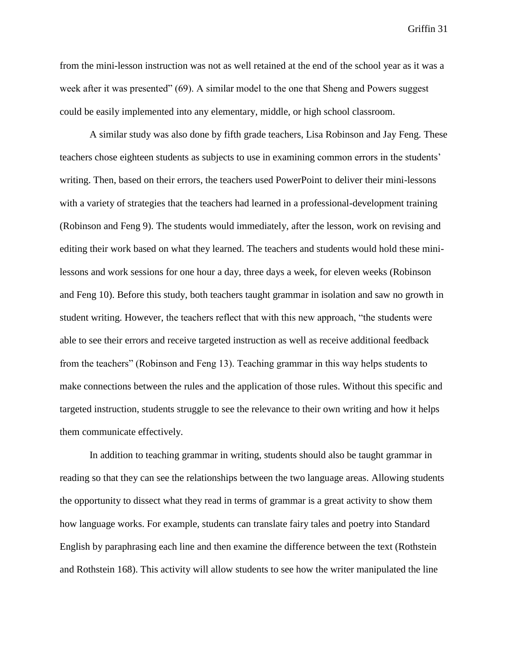from the mini-lesson instruction was not as well retained at the end of the school year as it was a week after it was presented" (69). A similar model to the one that Sheng and Powers suggest could be easily implemented into any elementary, middle, or high school classroom.

A similar study was also done by fifth grade teachers, Lisa Robinson and Jay Feng. These teachers chose eighteen students as subjects to use in examining common errors in the students' writing. Then, based on their errors, the teachers used PowerPoint to deliver their mini-lessons with a variety of strategies that the teachers had learned in a professional-development training (Robinson and Feng 9). The students would immediately, after the lesson, work on revising and editing their work based on what they learned. The teachers and students would hold these minilessons and work sessions for one hour a day, three days a week, for eleven weeks (Robinson and Feng 10). Before this study, both teachers taught grammar in isolation and saw no growth in student writing. However, the teachers reflect that with this new approach, "the students were able to see their errors and receive targeted instruction as well as receive additional feedback from the teachers" (Robinson and Feng 13). Teaching grammar in this way helps students to make connections between the rules and the application of those rules. Without this specific and targeted instruction, students struggle to see the relevance to their own writing and how it helps them communicate effectively.

In addition to teaching grammar in writing, students should also be taught grammar in reading so that they can see the relationships between the two language areas. Allowing students the opportunity to dissect what they read in terms of grammar is a great activity to show them how language works. For example, students can translate fairy tales and poetry into Standard English by paraphrasing each line and then examine the difference between the text (Rothstein and Rothstein 168). This activity will allow students to see how the writer manipulated the line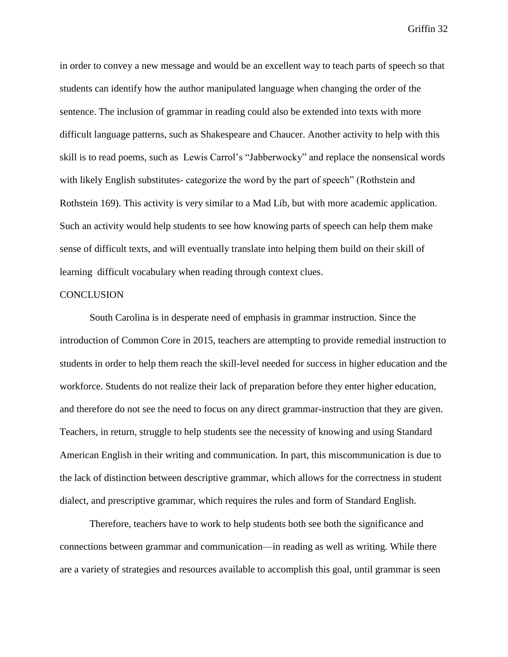in order to convey a new message and would be an excellent way to teach parts of speech so that students can identify how the author manipulated language when changing the order of the sentence. The inclusion of grammar in reading could also be extended into texts with more difficult language patterns, such as Shakespeare and Chaucer. Another activity to help with this skill is to read poems, such as Lewis Carrol's "Jabberwocky" and replace the nonsensical words with likely English substitutes- categorize the word by the part of speech" (Rothstein and Rothstein 169). This activity is very similar to a Mad Lib, but with more academic application. Such an activity would help students to see how knowing parts of speech can help them make sense of difficult texts, and will eventually translate into helping them build on their skill of learning difficult vocabulary when reading through context clues.

#### **CONCLUSION**

South Carolina is in desperate need of emphasis in grammar instruction. Since the introduction of Common Core in 2015, teachers are attempting to provide remedial instruction to students in order to help them reach the skill-level needed for success in higher education and the workforce. Students do not realize their lack of preparation before they enter higher education, and therefore do not see the need to focus on any direct grammar-instruction that they are given. Teachers, in return, struggle to help students see the necessity of knowing and using Standard American English in their writing and communication. In part, this miscommunication is due to the lack of distinction between descriptive grammar, which allows for the correctness in student dialect, and prescriptive grammar, which requires the rules and form of Standard English.

Therefore, teachers have to work to help students both see both the significance and connections between grammar and communication—in reading as well as writing. While there are a variety of strategies and resources available to accomplish this goal, until grammar is seen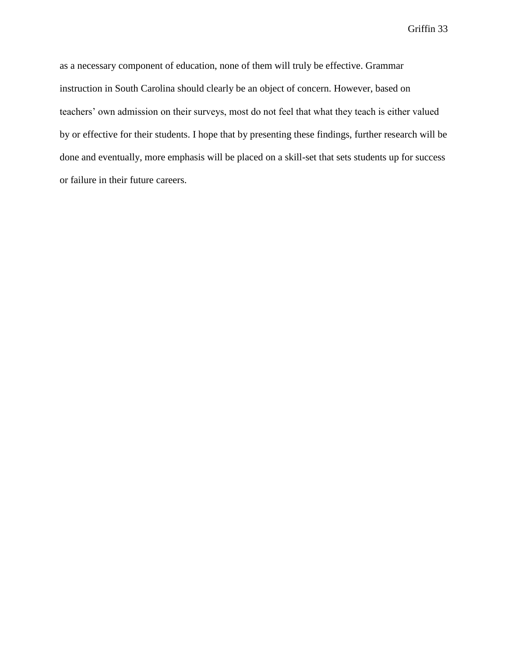as a necessary component of education, none of them will truly be effective. Grammar instruction in South Carolina should clearly be an object of concern. However, based on teachers' own admission on their surveys, most do not feel that what they teach is either valued by or effective for their students. I hope that by presenting these findings, further research will be done and eventually, more emphasis will be placed on a skill-set that sets students up for success or failure in their future careers.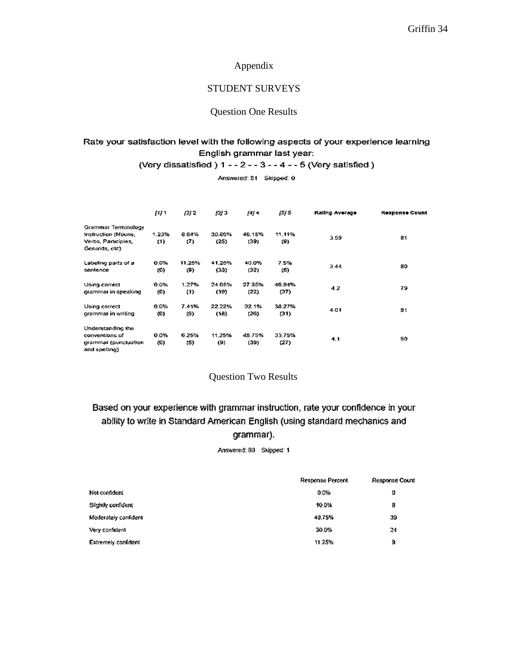### Appendix

## STUDENT SURVEYS

### Question One Results

## Rate your satisfaction level with the following aspects of your experience learning English grammar last year:

(Very dissatisfied) 1 - - 2 - - 3 - - 4 - - 5 (Very satisfied)

Answered: 81 Skipped: 0

|                                       | [1] 1    | $[2]$ 2 | (3)3   | 1414   | $[5]$ 5 | Rating Average | <b>Response Count</b> |
|---------------------------------------|----------|---------|--------|--------|---------|----------------|-----------------------|
| Grammar Terminology                   |          |         |        |        |         |                |                       |
| Instruction (Nouns,                   | 1.23%    | 8.64%   | 30.86% | 48.15% | 11.11%  |                |                       |
| Verbs, Participles,<br>Gerunds, etc)  | $^{(1)}$ | (7)     | (25)   | (39)   | (9)     | 3.59           | 81                    |
|                                       |          |         |        |        |         |                |                       |
| Labeling parts of a                   | 0.0%     | 11.25%  | 41.25% | 40.0%  | 7.5%    |                |                       |
| sentence                              | (0)      | (9)     | (33)   | (32)   | (6)     | 3.44           | 80                    |
| Using correct                         | 0.0%     | 1.27%   | 24.05% | 27.85% | 46.84%  |                |                       |
| grammar in speaking                   | (0)      | (1)     | (19)   | (22)   | (37)    | 4.2            | 79                    |
| Using correct                         | 0.0%     | 7.41%   | 22.22% | 32.1%  | 38.27%  |                |                       |
| grammar in writing                    | (0)      | (6)     | (18)   | (26)   | (31)    | 4.01           | 81                    |
| Understanding the                     |          |         |        |        |         |                |                       |
| conventions of                        | 0.0%     | 6.25%   | 11.25% | 48.75% | 33.75%  |                |                       |
| grammar (punctualion<br>and spelling) | (0)      | (S)     | (9)    | (39)   | (27)    | 4.1            | 80                    |

## Question Two Results

# Based on your experience with grammar instruction, rate your confidence in your ability to write in Standard American English (using standard mechanics and grammar).

Answered: 80 Skipped: 1

|                      | <b>Response Percent</b> | Response Count |
|----------------------|-------------------------|----------------|
| Not confident        | 0.0%                    | 0              |
| Slightly confident   | 10.0%                   | 8              |
| Moderately confident | 48,75%                  | 39             |
| Very confident       | 30.0%                   | 24             |
| Extremely confident  | 11.25%                  | 9              |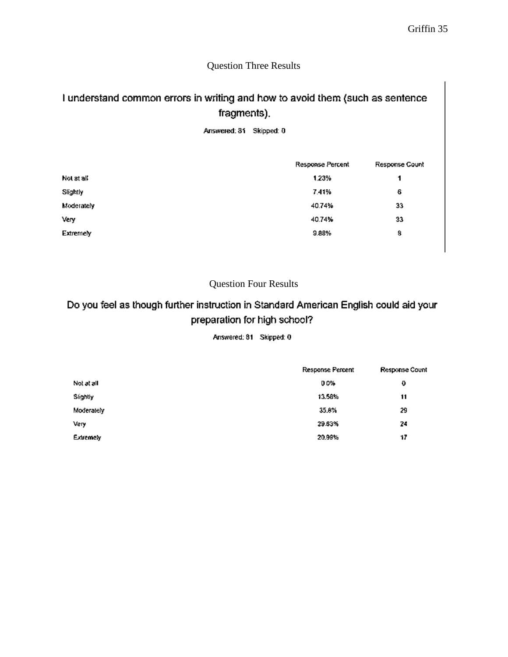## Question Three Results

# I understand common errors in writing and how to avoid them (such as sentence fragments).

Answered: 81 Skipped: 0

|            | Response Percent | Response Count |
|------------|------------------|----------------|
| Not at all | 1.23%            | 1              |
| Slightly   | 7.41%            | 6              |
| Moderately | 40.74%           | 33             |
| Very       | 40.74%           | 33             |
| Extremely  | 9.88%            | 8              |
|            |                  |                |

## Question Four Results

# Do you feel as though further instruction in Standard American English could aid your preparation for high school?

Answered: 81 Skipped: 0

|            | Response Percent | Response Count |
|------------|------------------|----------------|
| Not at all | 0.0%             | Đ              |
| Slightly   | 13.58%           | 11             |
| Moderately | 35.8%            | 29             |
| Very       | 29.63%           | 24             |
| Extremely  | 20.99%           | 17             |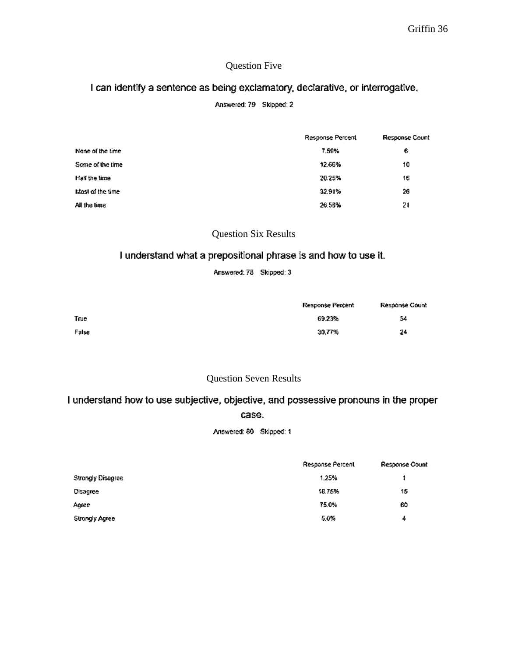## Question Five

## I can identify a sentence as being exclamatory, declarative, or interrogative,

## Answered: 79 Skipped: 2

|                   | Response Percent | Response Count |
|-------------------|------------------|----------------|
| None of the time. | 7.59%            | 6              |
| Some of the time  | 12.66%           | 10             |
| Half the time     | 20.25%           | 16             |
| Most of the time. | 32.91%           | 26             |
| All the time      | 26.58%           | 21             |

## Question Six Results

## I understand what a prepositional phrase is and how to use it.

Answered: 78 Skipped: 3

|       | Response Percent | Response Count |
|-------|------------------|----------------|
| True  | 69.23%           | 54             |
| False | 30,77%           | 24             |

## Question Seven Results

# I understand how to use subjective, objective, and possessive pronouns in the proper case.

Answered: 80 Skipped: 1

|                   | Response Percent | Response Count |
|-------------------|------------------|----------------|
| Strongly Disagree | 1.25%            |                |
| Disagree          | 18.75%           | 15             |
| Agree             | 75.0%            | 60             |
| Strongly Agree    | 5.0%             | 4              |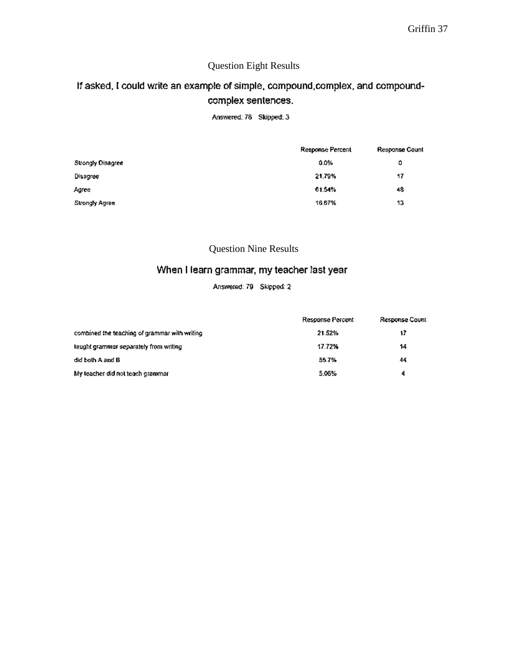## Question Eight Results

# If asked, I could write an example of simple, compound, complex, and compoundcomplex sentences.

Answered: 78 Skipped: 3

|                   | Response Percent | Response Count |
|-------------------|------------------|----------------|
| Strongly Disagree | 0.0%             | ٥              |
| Disagree          | 21,79%           | 17             |
| Agree             | 61.54%           | 48             |
| Strongly Agree    | 16.67%           | 13             |

## Question Nine Results

## When I learn grammar, my teacher last year

Answered: 79 Skipped: 2

|                                               | Response Percent | Response Count |
|-----------------------------------------------|------------------|----------------|
| combined the teaching of grammar with writing | 21.52%           | 17             |
| laught grammar separately from writing        | 17.72%           | 14             |
| did both A and B                              | 55.7%            | 44             |
| My leacher did not teach grammar              | 5.06%            | 4              |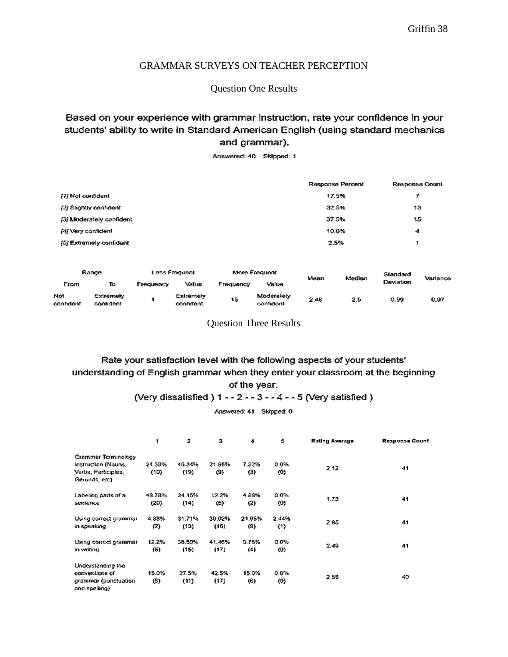## GRAMMAR SURVEYS ON TEACHER PERCEPTION

Question One Results

## Based on your experience with grammar instruction, rate your confidence in your students' ability to write in Standard American English (using standard mechanics and grammar).

Answered: 40 Skipped: 1

|                          |                      |                      | Response Percent | Response Count          |
|--------------------------|----------------------|----------------------|------------------|-------------------------|
| [1] Not confident        |                      |                      | 17.5%            | 7                       |
| [2] Slightly confident   |                      |                      | 32.5%            | 13                      |
| (3) Moderately confident |                      |                      | 37.5%            | 15                      |
| [4] Very confident       |                      |                      | 10.0%            | 4                       |
| [5] Extremely confident  |                      |                      | 2.5%             | 1                       |
|                          |                      |                      |                  |                         |
| Range                    | <b>Ace From Ioni</b> | <b>More Frequent</b> |                  | <b>CALL - ALL - ALL</b> |

|                 | <b>BULLER</b><br>гоза гладианн |           |                        |           | <b>MUID FIOVUOIK</b>    |      | <b>Medien</b> | Slandard  | Variance |
|-----------------|--------------------------------|-----------|------------------------|-----------|-------------------------|------|---------------|-----------|----------|
| From            | To                             | Frequency | Valuo                  | Frequency | Value                   |      | Mean          | Deviation |          |
| Not<br>conndent | Extremely<br>confident         |           | Exiremely<br>confident | 15        | Moderately<br>confident | 2.48 | 2.5           | 0.99      | 0.97     |

Question Three Results

## Rate your satisfaction level with the following aspects of your students' understanding of English grammar when they enter your classroom at the beginning of the year:

### (Very dissatisfied ) 1 - - 2 - - 3 - - 4 - - 5 (Very satisfied )

Answered: 41 Skipped: 0

| 1                                 | 2      | 3      | 4                 | 5                  | Rating Average | <b>Response Count</b>                |
|-----------------------------------|--------|--------|-------------------|--------------------|----------------|--------------------------------------|
|                                   |        |        |                   |                    |                |                                      |
| 24.39%                            | 46.34% | 21.95% | 7,32%             | 0.0%               |                | 41                                   |
| (10)                              | (19)   | (9)    | $\left(3\right)$  | $\left( 0 \right)$ |                |                                      |
|                                   |        |        |                   |                    |                |                                      |
| 48.78%                            | 34.15% | 12.2%  | 4.88%             | 0.0%               |                |                                      |
| (5)<br>(2)<br>(U)<br>(20)<br>(14) |        |        | 41                |                    |                |                                      |
| 4.83%                             | 31.71% | 39.02% | 21.95%            | 2.44%              |                |                                      |
| (2)                               | (13)   | (16)   | $\left( 9\right)$ | (1)                |                | 41                                   |
| 12.2%                             | 36.59% | 41.46% | 9.76%             | 0.0%               |                |                                      |
| (5)                               | (15)   | (17)   | (4)               | (0)                |                | 41                                   |
|                                   |        |        |                   |                    |                |                                      |
| 15.0%                             | 27.5%  | 42.5%  | 15.0%             | 0.0%               |                |                                      |
| (6)                               | (11)   | (17)   | (6)               | (0)                |                | 40.                                  |
|                                   |        |        |                   |                    |                | 2.12<br>1.73<br>2.85<br>2.49<br>2.58 |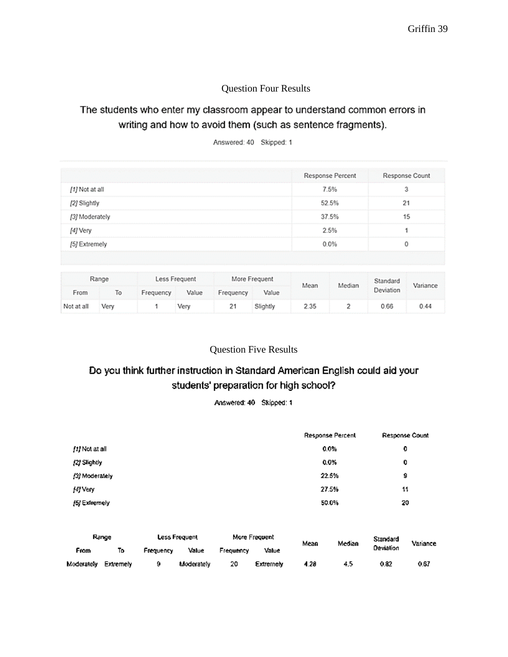## Question Four Results

# The students who enter my classroom appear to understand common errors in writing and how to avoid them (such as sentence fragments).

Answered: 40 Skipped: 1

|                | <b>Response Percent</b> | Response Count |
|----------------|-------------------------|----------------|
| [1] Not at all | 7.5%                    | 3              |
| [2] Slightly   | 52.5%                   | 21             |
| [3] Moderately | 37.5%                   | 15             |
| [4] Very       | 2.5%                    |                |
| [5] Extremely  | 0.0%                    |                |

| Range      |      | Less Frequent |       |           | More Frequent |      | Median | Standard  | Variance |
|------------|------|---------------|-------|-----------|---------------|------|--------|-----------|----------|
| From       | To   | Frequency     | Value | Frequency | Value         | Mean |        | Deviation |          |
| Not at all | Very |               | Very  | 21        | Slightly      | 2.35 |        | 0.66      | 0.44     |

## Question Five Results

# Do you think further instruction in Standard American English could aid your students' preparation for high school?

Answered: 40 Skipped: 1

|                | Response Percent | Response Count |
|----------------|------------------|----------------|
| fti Not at all | 0.0%             | 0              |
| [2] Slightly   | 0.0%             | 0              |
| (3) Moderately | 22.5%            | 9              |
| [4] Very       | 27.5%            | 11             |
| [5] Extremely  | 50.0%            | 20             |

| Range      |           | Less Frequent |            | More Frequent |           | Mean | Median | Standard  | Variance |
|------------|-----------|---------------|------------|---------------|-----------|------|--------|-----------|----------|
| Fram       | Т٥        | Frequency     | Value      | Frequency     | Value     |      |        | Deviation |          |
| Moderately | Extremely | 9             | Moderately | 20            | Extremely | 4.28 | 4.5    | 0.82      | 0.67     |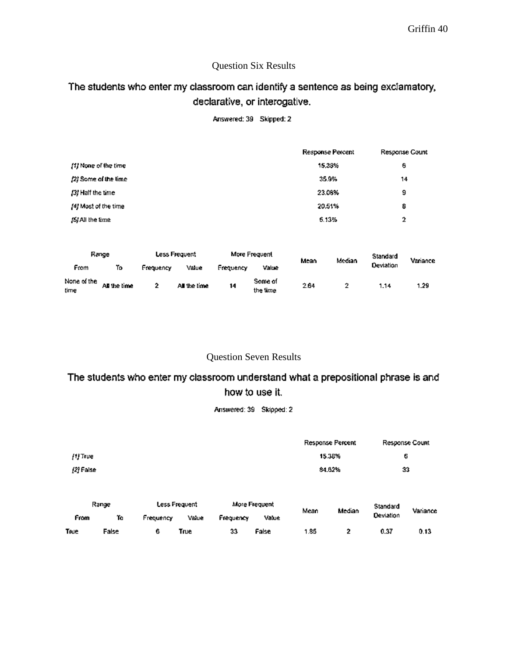## Question Six Results

# The students who enter my classroom can identify a sentence as being exclamatory, declarative, or interogative.

Answered: 39 Skipped: 2

|                             |                      |           |               |           |                     |        | <b>Response Percent</b> |           | Response Count |
|-----------------------------|----------------------|-----------|---------------|-----------|---------------------|--------|-------------------------|-----------|----------------|
| [1] None of the time        |                      |           |               |           |                     |        | 15,38%                  | ₿         |                |
|                             | (2) Some of the lime |           |               |           |                     |        | 35.9%                   |           | 14             |
| [3] Half the time           |                      |           |               |           |                     |        | 23.08%                  | 9         |                |
| [4] Most of the time        |                      |           |               |           |                     | 20.51% | 8                       |           |                |
| (SIAI the time              |                      |           |               |           |                     |        | 5.13%                   |           | 2              |
|                             | Range                |           | Less Frequent |           | More Frequent       | Mean   | Median                  | Standard  | Variance       |
| From                        | ĩ٥                   | Frequency | Value         | Frequency | Value               |        |                         | Deviation |                |
| None of the<br><b>Firma</b> | All the time         | 2         | All the time  | 14        | Some of<br>the fime | 2.64   | Ż                       | 1.14      | 1.29           |

time

## Question Seven Results

the time

# The students who enter my classroom understand what a prepositional phrase is and how to use it.

Answered: 39 Skipped: 2

|           |             |           |                        |           |                        |      | Response Percent |                       | Response Count |
|-----------|-------------|-----------|------------------------|-----------|------------------------|------|------------------|-----------------------|----------------|
|           |             |           |                        |           |                        |      |                  |                       |                |
| /1) True  |             |           |                        |           |                        |      | 15.38%           | Ģ                     |                |
| (2) False |             |           |                        |           |                        |      | 84.62%           | 33                    |                |
| From      | Range<br>Ťà | Frequency | Less Frequent<br>Value | Frequency | More Frequent<br>Value | Mean | Median           | Standard<br>Deviation | Variance       |
| True      | False       | 6         | True                   | 33        | False                  | 1.85 | 2                | 0.37                  | 0.13           |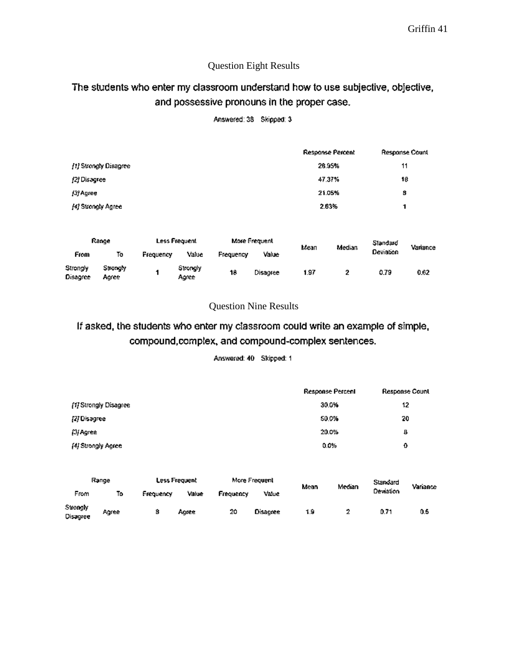## Question Eight Results

# The students who enter my classroom understand how to use subjective, objective, and possessive pronouns in the proper case.

|                      |                       |               |                   |           |                      |        | <b>Response Percent</b> |           | <b>Response Count</b> |  |
|----------------------|-----------------------|---------------|-------------------|-----------|----------------------|--------|-------------------------|-----------|-----------------------|--|
|                      | [1] Strongly Disagree |               |                   |           |                      | 28.95% | 11                      |           |                       |  |
| [2] Disagree         |                       |               |                   |           |                      |        | 47.37%                  |           | 16                    |  |
| [3] Agree            |                       |               |                   |           |                      |        | 21.05%                  | 8         |                       |  |
| [4] Strongly Agree   |                       |               |                   |           |                      |        | 2.63%                   | 1         |                       |  |
| Range                |                       | Less Frequent |                   |           | <b>More Frequent</b> |        |                         | Slandard  |                       |  |
| From                 | To                    | Frequency     | Value             | Frequency | Value                | Mean   | Median                  | Deviation | Variance              |  |
| Strongly<br>Disagree | Strongly<br>Agree     | 1             | Strongly<br>Agree | 18        | Disagree             | 1.97   | 2                       | 0.79      | 0.62                  |  |

Answered: 38 Skipped: 3

## Question Nine Results

# If asked, the students who enter my classroom could write an example of simple, compound, complex, and compound-complex sentences.

Answered: 40 Skipped: 1

|                       | <b>Response Percent</b> | Response Count |
|-----------------------|-------------------------|----------------|
| [1] Strongly Disagree | 30.0%                   | 12             |
| [2] Disagree          | 50.0%                   | 20             |
| [3] Agree             | 20.0%                   | в              |
| [4] Strongly Agree    | 0.0%                    | ٥              |

| Range                |       | Less Frequent |       |           | More Frequent |      | Median | Standard  | Variance |
|----------------------|-------|---------------|-------|-----------|---------------|------|--------|-----------|----------|
| From                 | Т٥    | Frequency     | Value | Frequency | Value         | Mean |        | Deviation |          |
| Strongly<br>Disagree | Agree | 8             | Aaree | 20        | Disagree      | 1.9  |        | 0.71      | 0.5      |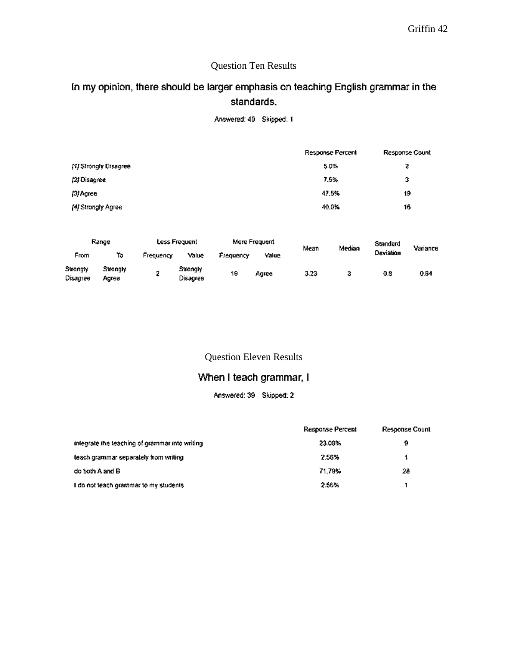# Question Ten Results

# In my opinion, there should be larger emphasis on teaching English grammar in the standards.

Answered: 40 Skipped: 1

|                       | Response Percent | Response Count |
|-----------------------|------------------|----------------|
| [1] Strongly Disagree | 5.0%             | 2              |
| (2) Disagree          | 7.5%             | 3              |
| [3] Agree             | 47.5%            | 19             |
| [4] Strongly Agree    | 40.0%            | 16             |

| Range                |                   | Less Frequent |                      | More Frequent |       | Mean | Median | Standard  | Variance |
|----------------------|-------------------|---------------|----------------------|---------------|-------|------|--------|-----------|----------|
| From                 | To                | Frequency     | Value                | Frequency     | Value |      |        | Deviation |          |
| Strongly<br>Disagree | Strangly<br>Agree | o             | Strongly<br>Disagree | 19            | Agree | 3.23 |        | 0.8       | 0.64     |

Question Eleven Results

## When I teach grammar, I

Answered: 39 Skipped: 2

|                                                | <b>Response Percent</b> | Response Count |
|------------------------------------------------|-------------------------|----------------|
| integrate the teaching of grammar into writing | 23.03%                  | a              |
| teach grammar separately from writing          | 2.56%                   |                |
| do both A and B                                | 71.79%                  | 28             |
| I do not leach grammar to my students          | 2.56%                   |                |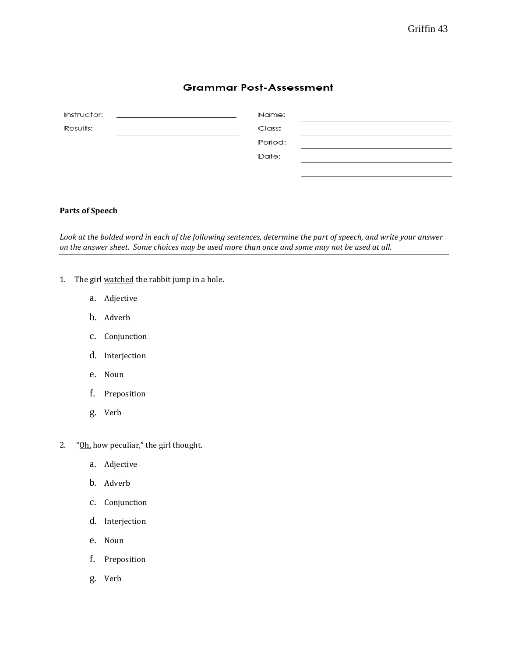## **Grammar Post-Assessment**

| Instructor: | Name:   |  |
|-------------|---------|--|
| Results:    | Class:  |  |
|             | Period: |  |
|             | Date:   |  |
|             |         |  |

## **Parts of Speech**

*Look at the bolded word in each of the following sentences, determine the part of speech, and write your answer on the answer sheet. Some choices may be used more than once and some may not be used at all.* 

- 1. The girl watched the rabbit jump in a hole.
	- a. Adjective
	- b. Adverb
	- c. Conjunction
	- d. Interjection
	- e. Noun
	- f. Preposition
	- g. Verb
- 2. "Oh, how peculiar," the girl thought.
	- a. Adjective
	- b. Adverb
	- c. Conjunction
	- d. Interjection
	- e. Noun
	- f. Preposition
	- g. Verb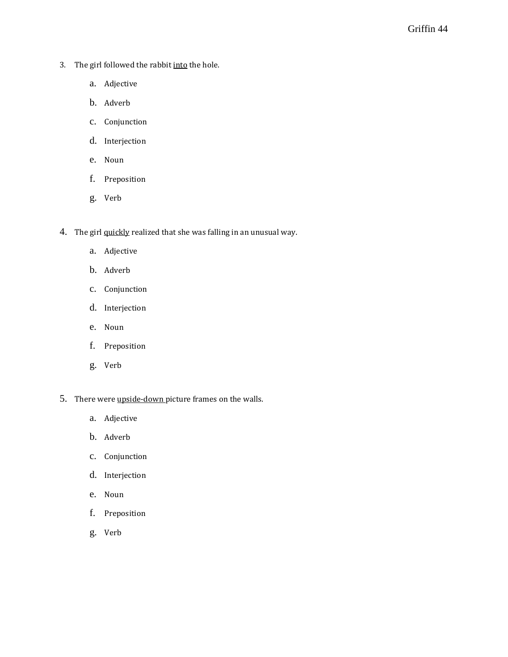- 3. The girl followed the rabbit into the hole.
	- a. Adjective
	- b. Adverb
	- c. Conjunction
	- d. Interjection
	- e. Noun
	- f. Preposition
	- g. Verb
- 4. The girl quickly realized that she was falling in an unusual way.
	- a. Adjective
	- b. Adverb
	- c. Conjunction
	- d. Interjection
	- e. Noun
	- f. Preposition
	- g. Verb
- 5. There were upside-down picture frames on the walls.
	- a. Adjective
	- b. Adverb
	- c. Conjunction
	- d. Interjection
	- e. Noun
	- f. Preposition
	- g. Verb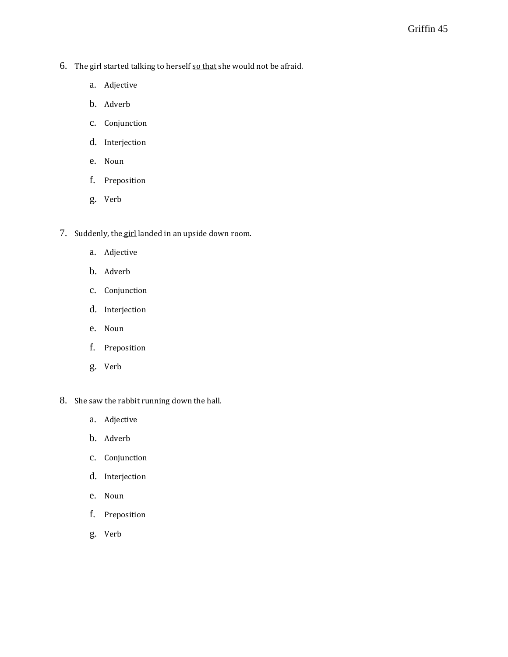- 6. The girl started talking to herself so that she would not be afraid.
	- a. Adjective
	- b. Adverb
	- c. Conjunction
	- d. Interjection
	- e. Noun
	- f. Preposition
	- g. Verb
- 7. Suddenly, the girl landed in an upside down room.
	- a. Adjective
	- b. Adverb
	- c. Conjunction
	- d. Interjection
	- e. Noun
	- f. Preposition
	- g. Verb
- 8. She saw the rabbit running down the hall.
	- a. Adjective
	- b. Adverb
	- c. Conjunction
	- d. Interjection
	- e. Noun
	- f. Preposition
	- g. Verb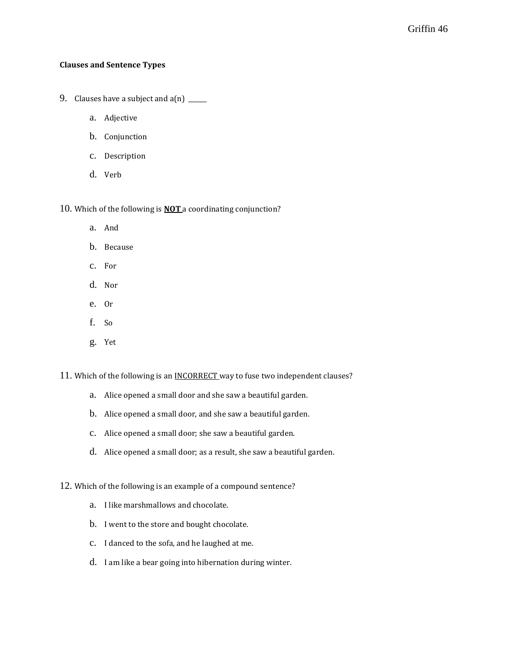#### **Clauses and Sentence Types**

- 9. Clauses have a subject and  $a(n)$  \_\_\_\_\_
	- a. Adjective
	- b. Conjunction
	- c. Description
	- d. Verb

10. Which of the following is **NOT** a coordinating conjunction?

- a. And
- b. Because
- c. For
- d. Nor
- e. Or
- f. So
- g. Yet

11. Which of the following is an **INCORRECT** way to fuse two independent clauses?

- a. Alice opened a small door and she saw a beautiful garden.
- b. Alice opened a small door, and she saw a beautiful garden.
- c. Alice opened a small door; she saw a beautiful garden.
- d. Alice opened a small door; as a result, she saw a beautiful garden.

12. Which of the following is an example of a compound sentence?

- a. I like marshmallows and chocolate.
- b. I went to the store and bought chocolate.
- c. I danced to the sofa, and he laughed at me.
- d. I am like a bear going into hibernation during winter.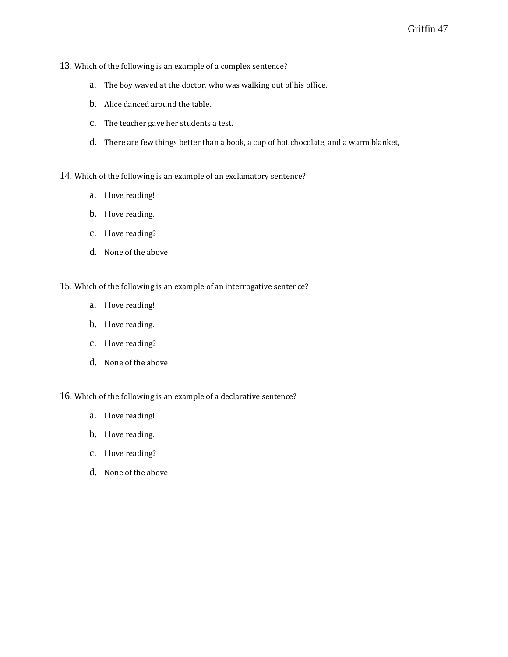- 13. Which of the following is an example of a complex sentence?
	- a. The boy waved at the doctor, who was walking out of his office.
	- b. Alice danced around the table.
	- c. The teacher gave her students a test.
	- d. There are few things better than a book, a cup of hot chocolate, and a warm blanket,
- 14. Which of the following is an example of an exclamatory sentence?
	- a. I love reading!
	- b. I love reading.
	- c. I love reading?
	- d. None of the above
- 15. Which of the following is an example of an interrogative sentence?
	- a. I love reading!
	- b. I love reading.
	- c. I love reading?
	- d. None of the above
- 16. Which of the following is an example of a declarative sentence?
	- a. I love reading!
	- b. I love reading.
	- c. I love reading?
	- d. None of the above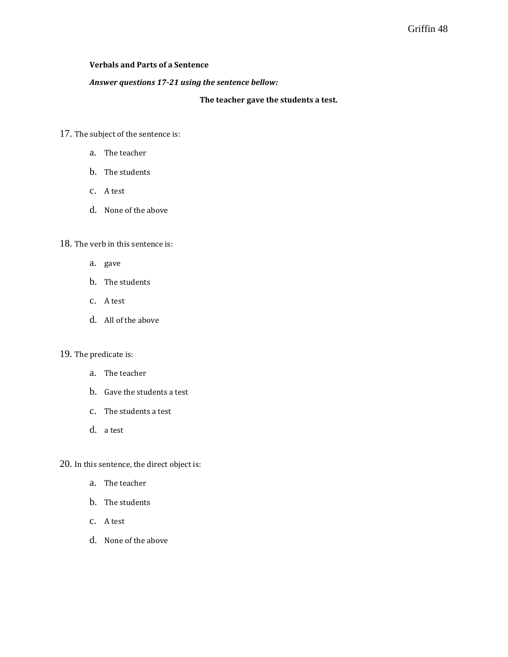### **Verbals and Parts of a Sentence**

#### *Answer questions 17-21 using the sentence bellow:*

**The teacher gave the students a test.** 

- 17. The subject of the sentence is:
	- a. The teacher
	- b. The students
	- c. A test
	- d. None of the above

### 18. The verb in this sentence is:

- a. gave
- b. The students
- c. A test
- d. All of the above

## 19. The predicate is:

- a. The teacher
- b. Gave the students a test
- c. The students a test
- d. a test

20. In this sentence, the direct object is:

- a. The teacher
- b. The students
- c. A test
- d. None of the above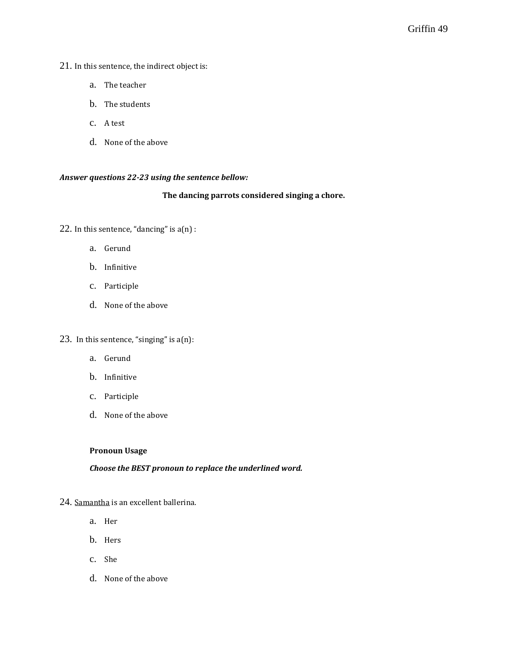## 21. In this sentence, the indirect object is:

- a. The teacher
- b. The students
- c. A test
- d. None of the above

### *Answer questions 22-23 using the sentence bellow:*

#### **The dancing parrots considered singing a chore.**

- 22. In this sentence, "dancing" is  $a(n)$ :
	- a. Gerund
	- b. Infinitive
	- c. Participle
	- d. None of the above
- 23. In this sentence, "singing" is a(n):
	- a. Gerund
	- b. Infinitive
	- c. Participle
	- d. None of the above

#### **Pronoun Usage**

### *Choose the BEST pronoun to replace the underlined word.*

- 24. Samantha is an excellent ballerina.
	- a. Her
	- b. Hers
	- c. She
	- d. None of the above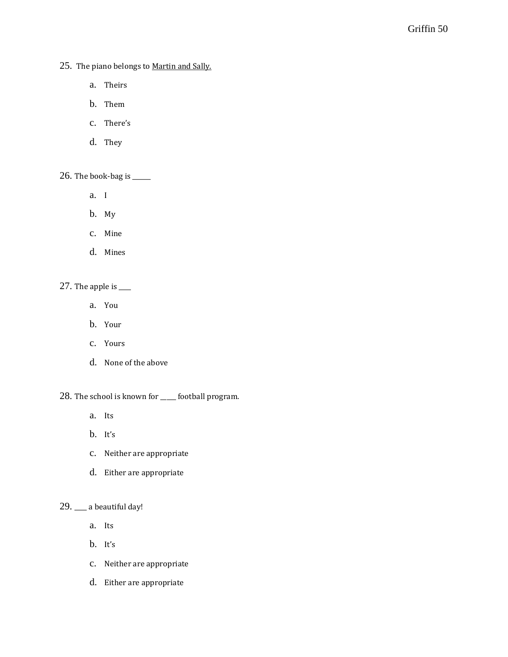25. The piano belongs to Martin and Sally.

- a. Theirs
- b. Them
- c. There's
- d. They

26. The book-bag is \_\_\_\_\_\_

- a. I
- b. My
- c. Mine
- d. Mines

### 27. The apple is \_\_\_\_

- a. You
- b. Your
- c. Yours
- d. None of the above

28. The school is known for \_\_\_\_\_ football program.

- a. Its
- b. It's
- c. Neither are appropriate
- d. Either are appropriate

## 29. \_\_\_\_ a beautiful day!

- a. Its
- b. It's
- c. Neither are appropriate
- d. Either are appropriate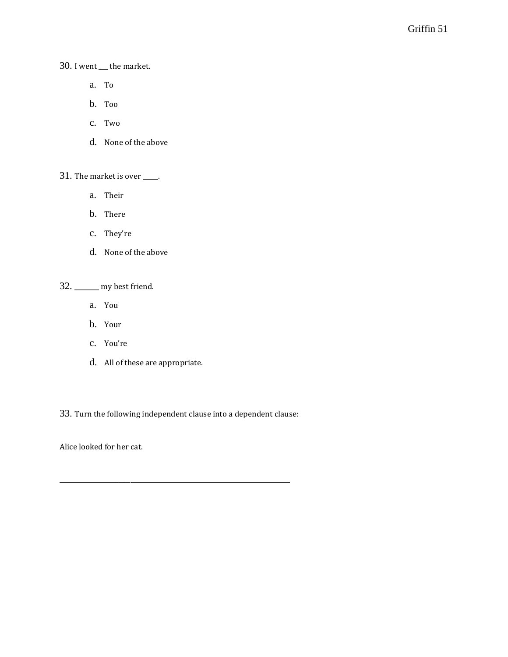30. I went \_\_\_ the market.

- a. To
- b. Too
- c. Two
- d. None of the above

31. The market is over \_\_\_\_\_.

- a. Their
- b. There
- c. They're
- d. None of the above

32. \_\_\_\_\_\_\_\_ my best friend.

- a. You
- b. Your
- c. You're
- d. All of these are appropriate.

33. Turn the following independent clause into a dependent clause:

\_\_\_\_\_\_\_\_\_\_\_\_\_\_\_\_\_\_\_\_\_\_\_\_\_\_\_\_\_\_\_\_\_\_\_\_\_\_\_\_\_\_\_\_\_\_\_\_\_\_\_\_\_\_\_\_\_\_\_\_\_\_\_\_\_\_\_\_\_\_\_\_\_\_\_

Alice looked for her cat.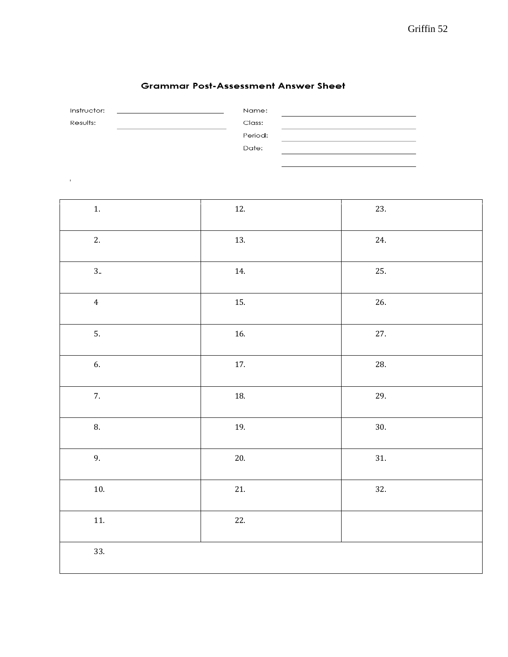$\frac{1}{2}$  $\overline{\phantom{0}}$ 

## **Grammar Post-Assessment Answer Sheet**

| Instructor: | Name:   |  |
|-------------|---------|--|
| Results:    | Class:  |  |
|             | Period: |  |
|             | Date:   |  |
|             |         |  |

 $\sim 10$ 

| 1.             | 12.   | 23. |
|----------------|-------|-----|
| 2.             | 13.   | 24. |
| 3.             | 14.   | 25. |
| $\overline{4}$ | 15.   | 26. |
| 5.             | 16.   | 27. |
| 6.             | $17.$ | 28. |
| 7.             | 18.   | 29. |
| 8.             | 19.   | 30. |
| 9.             | $20.$ | 31. |
| $10.$          | $21.$ | 32. |
| 11.            | 22.   |     |
| 33.            |       |     |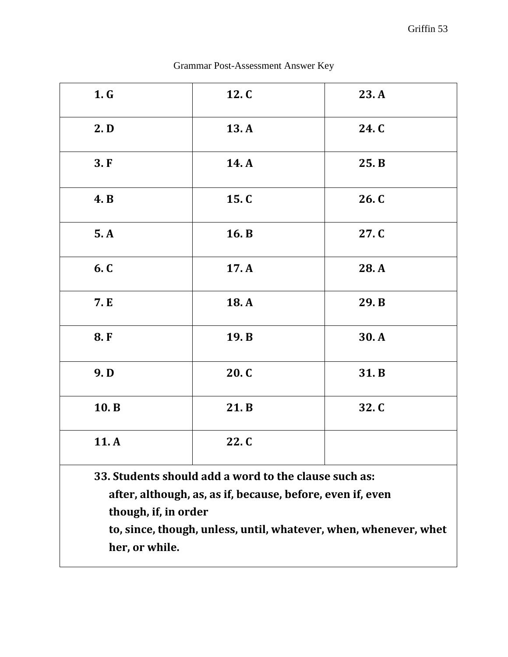| 1. G                                                             | 12. C | 23.A  |
|------------------------------------------------------------------|-------|-------|
| 2. <b>D</b>                                                      | 13.A  | 24. C |
| 3.F                                                              | 14. A | 25. B |
| <b>4.</b> B                                                      | 15. C | 26. C |
| 5.A                                                              | 16. B | 27. C |
| 6. C                                                             | 17.A  | 28.A  |
| 7. E                                                             | 18.A  | 29. B |
| 8.F                                                              | 19. B | 30.A  |
| 9.D                                                              | 20. C | 31.B  |
| 10.B                                                             | 21.B  | 32.C  |
| 11.A                                                             | 22. C |       |
| 33. Students should add a word to the clause such as:            |       |       |
| after, although, as, as if, because, before, even if, even       |       |       |
| though, if, in order                                             |       |       |
| to, since, though, unless, until, whatever, when, whenever, whet |       |       |

Grammar Post-Assessment Answer Key

**her, or while.**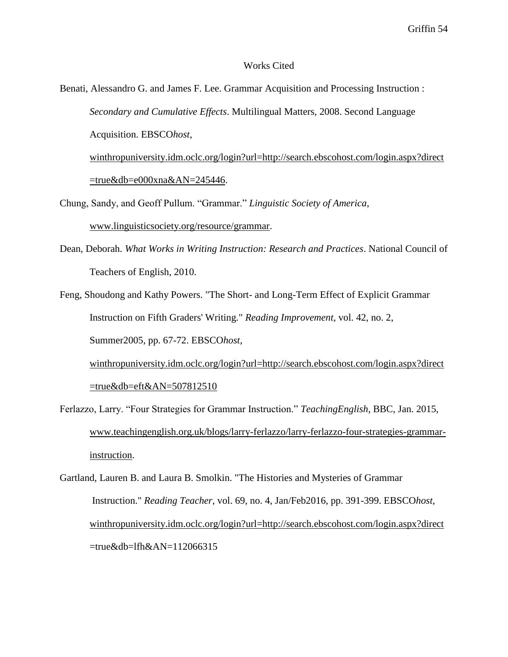#### Works Cited

Benati, Alessandro G. and James F. Lee. Grammar Acquisition and Processing Instruction : *Secondary and Cumulative Effects*. Multilingual Matters, 2008. Second Language Acquisition. EBSCO*host*, [winthropuniversity.idm.oclc.org/login?url=http://search.ebscohost.com/login.aspx?direct](http://winthropuniversity.idm.oclc.org/login?url=http://search.ebscohost.com/login.aspx?direct=true&db=e000xna&AN=245446)

 $=$ true&db=e000xna&AN=245446.

Chung, Sandy, and Geoff Pullum. "Grammar." *Linguistic Society of America*, [www.linguisticsociety.org/resource/grammar.](http://www.linguisticsociety.org/resource/grammar)

- Dean, Deborah. *What Works in Writing Instruction: Research and Practices*. National Council of Teachers of English, 2010.
- Feng, Shoudong and Kathy Powers. "The Short- and Long-Term Effect of Explicit Grammar Instruction on Fifth Graders' Writing." *Reading Improvement*, vol. 42, no. 2, Summer2005, pp. 67-72. EBSCO*host*[,](http://winthropuniversity.idm.oclc.org/login?url=http://search.ebscohost.com/login.aspx?direct=true&db=eft&AN=507812510)

[winthropuniversity.idm.oclc.org/login?url=http://search.ebscohost.com/login.aspx?direct](http://winthropuniversity.idm.oclc.org/login?url=http://search.ebscohost.com/login.aspx?direct=true&db=eft&AN=507812510) [=true&db=eft&AN=507812510](http://winthropuniversity.idm.oclc.org/login?url=http://search.ebscohost.com/login.aspx?direct=true&db=eft&AN=507812510)

Ferlazzo, Larry. "Four Strategies for Grammar Instruction." *TeachingEnglish*, BBC, Jan. 2015, [www.teachingenglish.org.uk/blogs/larry-ferlazzo/larry-ferlazzo-four-strategies-grammar](http://www.teachingenglish.org.uk/blogs/larry-ferlazzo/larry-ferlazzo-four-strategies-grammar-instruction)[instruction.](http://www.teachingenglish.org.uk/blogs/larry-ferlazzo/larry-ferlazzo-four-strategies-grammar-instruction)

Gartland, Lauren B. and Laura B. Smolkin. "The Histories and Mysteries of Grammar Instruction." *Reading Teacher*, vol. 69, no. 4, Jan/Feb2016, pp. 391-399. EBSCO*host*, [winthropuniversity.idm.oclc.org/login?url=http://search.ebscohost.com/login.aspx?direct](http://winthropuniversity.idm.oclc.org/login?url=http://search.ebscohost.com/login.aspx?direct) =true&db=lfh&AN=112066315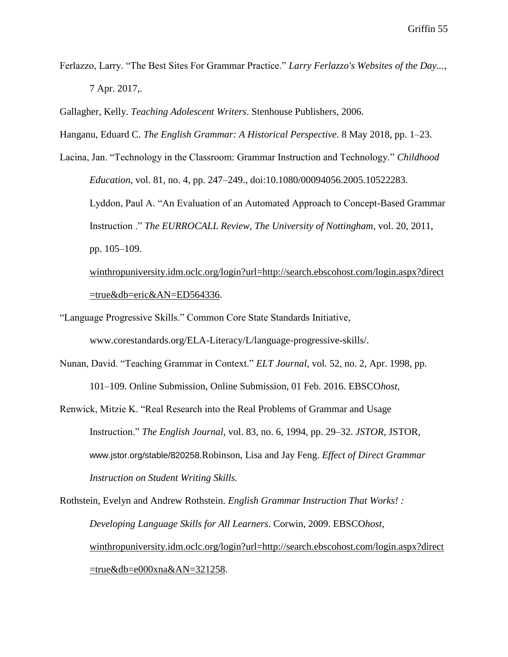- Ferlazzo, Larry. "The Best Sites For Grammar Practice." *Larry Ferlazzo's Websites of the Day...*, 7 Apr. 2017,.
- Gallagher, Kelly. *Teaching Adolescent Writers*. Stenhouse Publishers, 2006.

Hanganu, Eduard C. *The English Grammar: A Historical Perspective*. 8 May 2018, pp. 1–23.

Lacina, Jan. "Technology in the Classroom: Grammar Instruction and Technology." *Childhood Education*, vol. 81, no. 4, pp. 247–249., doi:10.1080/00094056.2005.10522283. Lyddon, Paul A. "An Evaluation of an Automated Approach to Concept-Based Grammar Instruction ." *The EURROCALL Review, The University of Nottingham*, vol. 20, 2011, pp. 105–109. [winthropuniversity.idm.oclc.org/login?url=http://search.ebscohost.com/login.aspx?direct](http://winthropuniversity.idm.oclc.org/login?url=http://search.ebscohost.com/login.aspx?direct=true&db=eric&AN=ED564336)

[=true&db=eric&AN=ED564336.](http://winthropuniversity.idm.oclc.org/login?url=http://search.ebscohost.com/login.aspx?direct=true&db=eric&AN=ED564336)

- "Language Progressive Skills." Common Core State Standards Initiative, www.corestandards.org/ELA-Literacy/L/language-progressive-skills/.
- Nunan, David. "Teaching Grammar in Context." *ELT Journal*, vol. 52, no. 2, Apr. 1998, pp. 101–109. Online Submission, Online Submission, 01 Feb. 2016. EBSCO*host*,
- Renwick, Mitzie K. "Real Research into the Real Problems of Grammar and Usage Instruction." *The English Journal*, vol. 83, no. 6, 1994, pp. 29–32. *JSTOR*, JSTOR, www.jstor.org/stable/820258.Robinson, Lisa and Jay Feng. *Effect of Direct Grammar Instruction on Student Writing Skills.*

Rothstein, Evelyn and Andrew Rothstein. *English Grammar Instruction That Works! : Developing Language Skills for All Learners*. Corwin, 2009. EBSCO*host*, [winthropuniversity.idm.oclc.org/login?url=http://search.ebscohost.com/login.aspx?direct](http://winthropuniversity.idm.oclc.org/login?url=http://search.ebscohost.com/login.aspx?direct=true&db=e000xna&AN=321258)  $=$ true&db=e000xna&AN=321258.